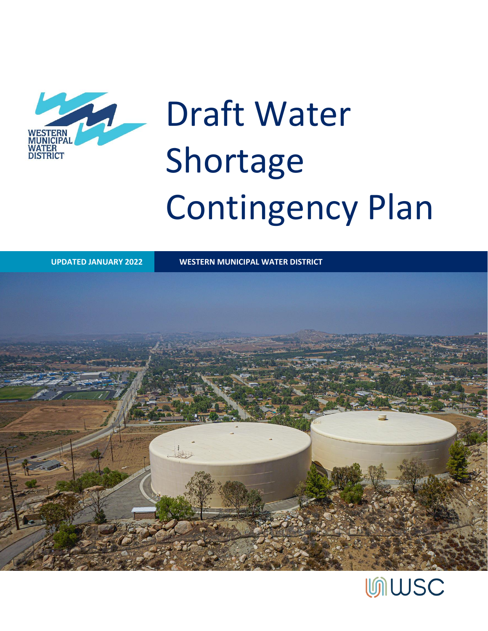

# Draft Water Shortage Contingency Plan

**UPDATED JANUARY 2022 WESTERN MUNICIPAL WATER DISTRICT**



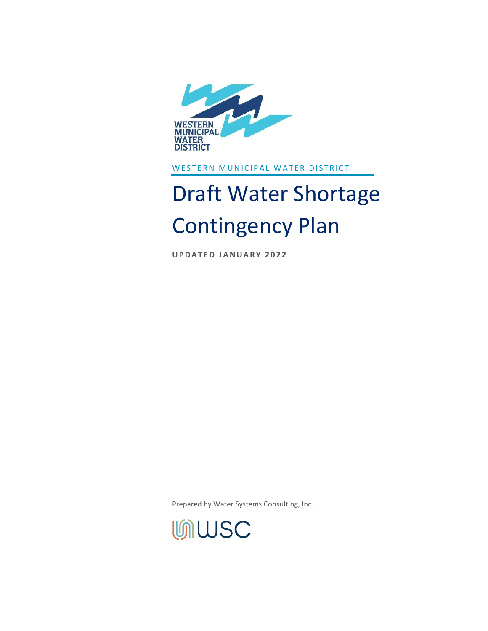

WESTERN MUNICIPAL WATER DISTRICT

## Draft Water Shortage Contingency Plan

**UPDATED JANUARY 2022** 

Prepared by Water Systems Consulting, Inc.

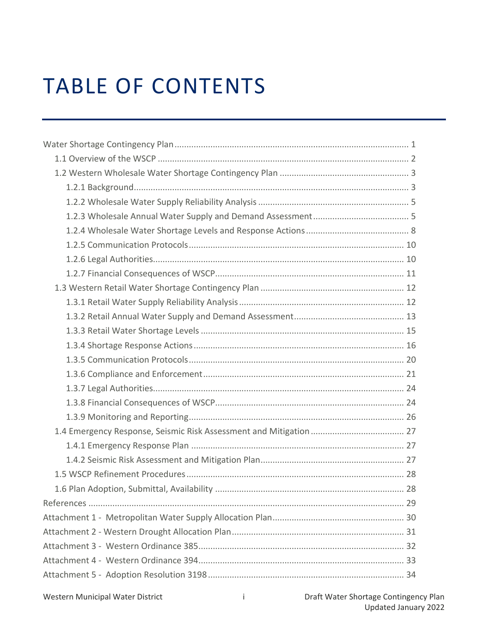## TABLE OF CONTENTS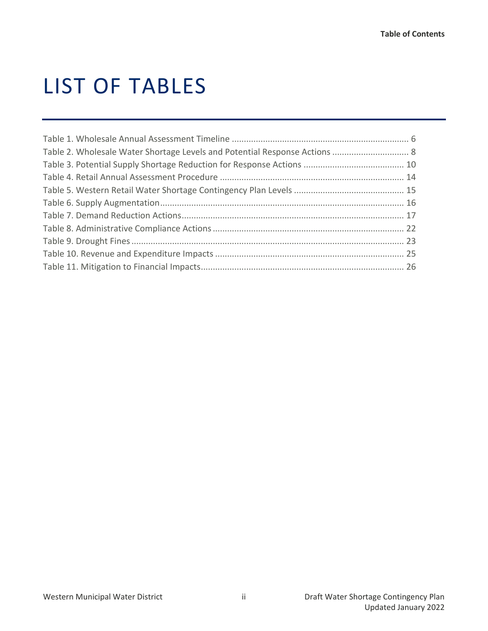## LIST OF TABLES

| Table 2. Wholesale Water Shortage Levels and Potential Response Actions  8 |  |
|----------------------------------------------------------------------------|--|
|                                                                            |  |
|                                                                            |  |
|                                                                            |  |
|                                                                            |  |
|                                                                            |  |
|                                                                            |  |
|                                                                            |  |
|                                                                            |  |
|                                                                            |  |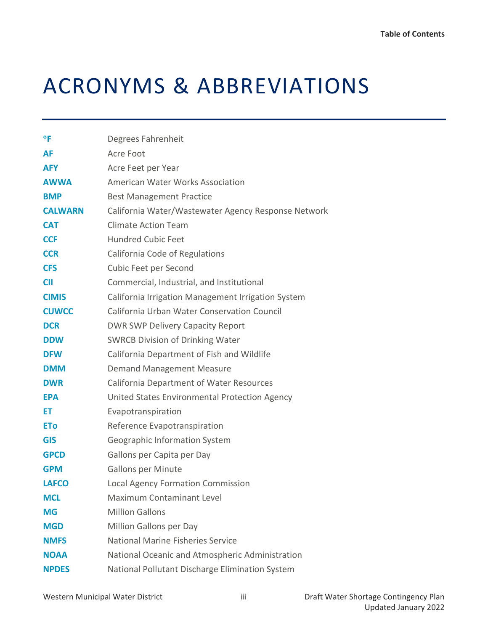## ACRONYMS & ABBREVIATIONS

| Degrees Fahrenheit                                  |
|-----------------------------------------------------|
| Acre Foot                                           |
| Acre Feet per Year                                  |
| <b>American Water Works Association</b>             |
| <b>Best Management Practice</b>                     |
| California Water/Wastewater Agency Response Network |
| <b>Climate Action Team</b>                          |
| <b>Hundred Cubic Feet</b>                           |
| California Code of Regulations                      |
| Cubic Feet per Second                               |
| Commercial, Industrial, and Institutional           |
| California Irrigation Management Irrigation System  |
| California Urban Water Conservation Council         |
| <b>DWR SWP Delivery Capacity Report</b>             |
| <b>SWRCB Division of Drinking Water</b>             |
| California Department of Fish and Wildlife          |
| <b>Demand Management Measure</b>                    |
| <b>California Department of Water Resources</b>     |
| United States Environmental Protection Agency       |
| Evapotranspiration                                  |
| Reference Evapotranspiration                        |
| Geographic Information System                       |
| Gallons per Capita per Day                          |
| <b>Gallons per Minute</b>                           |
| <b>Local Agency Formation Commission</b>            |
| Maximum Contaminant Level                           |
| <b>Million Gallons</b>                              |
| Million Gallons per Day                             |
| National Marine Fisheries Service                   |
| National Oceanic and Atmospheric Administration     |
| National Pollutant Discharge Elimination System     |
|                                                     |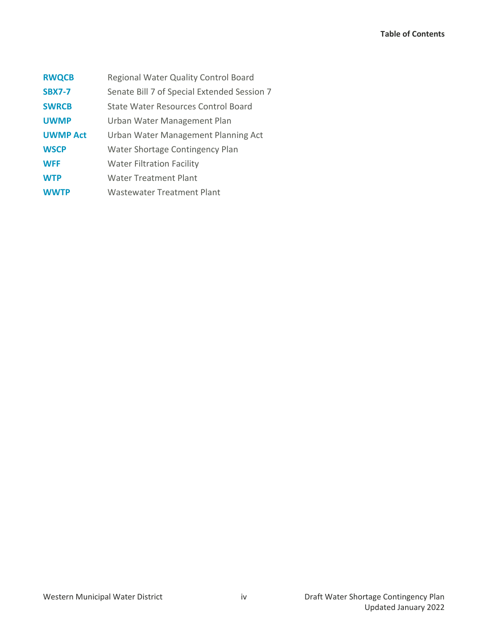| <b>RWQCB</b>    | Regional Water Quality Control Board        |
|-----------------|---------------------------------------------|
| <b>SBX7-7</b>   | Senate Bill 7 of Special Extended Session 7 |
| <b>SWRCB</b>    | State Water Resources Control Board         |
| <b>UWMP</b>     | Urban Water Management Plan                 |
| <b>UWMP Act</b> | Urban Water Management Planning Act         |
| <b>WSCP</b>     | Water Shortage Contingency Plan             |
| <b>WFF</b>      | <b>Water Filtration Facility</b>            |
| <b>WTP</b>      | <b>Water Treatment Plant</b>                |
| <b>WWTP</b>     | <b>Wastewater Treatment Plant</b>           |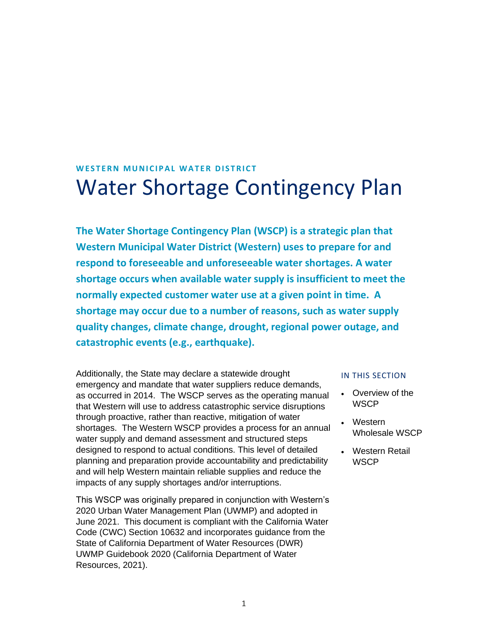## <span id="page-6-0"></span>**WESTERN MUNICIPAL WATER DISTRICT** Water Shortage Contingency Plan

**The Water Shortage Contingency Plan (WSCP) is a strategic plan that Western Municipal Water District (Western) uses to prepare for and respond to foreseeable and unforeseeable water shortages. A water shortage occurs when available water supply is insufficient to meet the normally expected customer water use at a given point in time. A shortage may occur due to a number of reasons, such as water supply quality changes, climate change, drought, regional power outage, and catastrophic events (e.g., earthquake).**

Additionally, the State may declare a statewide drought emergency and mandate that water suppliers reduce demands, as occurred in 2014. The WSCP serves as the operating manual that Western will use to address catastrophic service disruptions through proactive, rather than reactive, mitigation of water shortages. The Western WSCP provides a process for an annual water supply and demand assessment and structured steps designed to respond to actual conditions. This level of detailed planning and preparation provide accountability and predictability and will help Western maintain reliable supplies and reduce the impacts of any supply shortages and/or interruptions.

This WSCP was originally prepared in conjunction with Western's 2020 Urban Water Management Plan (UWMP) and adopted in June 2021. This document is compliant with the California Water Code (CWC) Section 10632 and incorporates guidance from the State of California Department of Water Resources (DWR) UWMP Guidebook 2020 (California Department of Water Resources, 2021).

#### IN THIS SECTION

- Overview of the **WSCP**
- Western Wholesale WSCP
- Western Retail **WSCP**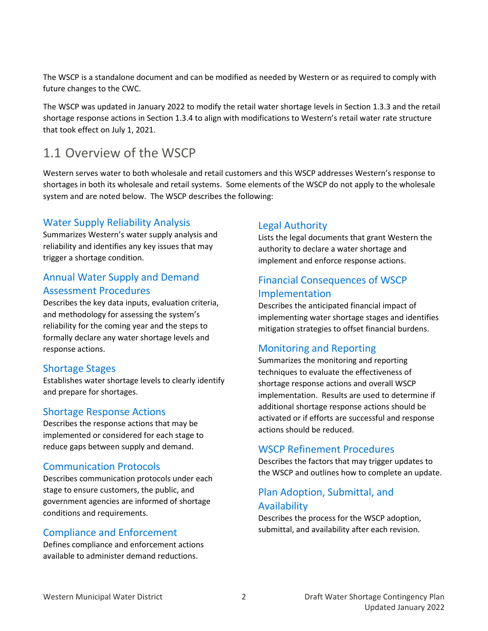The WSCP is a standalone document and can be modified as needed by Western or as required to comply with future changes to the CWC.

The WSCP was updated in January 2022 to modify the retail water shortage levels in Sectio[n 1.3.3](#page-20-0) and the retail shortage response actions in Section [1.3.4](#page-21-0) to align with modifications to Western's retail water rate structure that took effect on July 1, 2021.

## <span id="page-7-0"></span>1.1 Overview of the WSCP

Western serves water to both wholesale and retail customers and this WSCP addresses Western's response to shortages in both its wholesale and retail systems. Some elements of the WSCP do not apply to the wholesale system and are noted below. The WSCP describes the following:

### Water Supply Reliability Analysis

Summarizes Western's water supply analysis and reliability and identifies any key issues that may trigger a shortage condition.

## Annual Water Supply and Demand Assessment Procedures

Describes the key data inputs, evaluation criteria, and methodology for assessing the system's reliability for the coming year and the steps to formally declare any water shortage levels and response actions.

#### Shortage Stages

Establishes water shortage levels to clearly identify and prepare for shortages.

### Shortage Response Actions

Describes the response actions that may be implemented or considered for each stage to reduce gaps between supply and demand.

### Communication Protocols

Describes communication protocols under each stage to ensure customers, the public, and government agencies are informed of shortage conditions and requirements.

## Compliance and Enforcement

Defines compliance and enforcement actions available to administer demand reductions.

## Legal Authority

Lists the legal documents that grant Western the authority to declare a water shortage and implement and enforce response actions.

## Financial Consequences of WSCP Implementation

Describes the anticipated financial impact of implementing water shortage stages and identifies mitigation strategies to offset financial burdens.

## Monitoring and Reporting

Summarizes the monitoring and reporting techniques to evaluate the effectiveness of shortage response actions and overall WSCP implementation. Results are used to determine if additional shortage response actions should be activated or if efforts are successful and response actions should be reduced.

## WSCP Refinement Procedures

Describes the factors that may trigger updates to the WSCP and outlines how to complete an update.

## Plan Adoption, Submittal, and Availability

Describes the process for the WSCP adoption, submittal, and availability after each revision.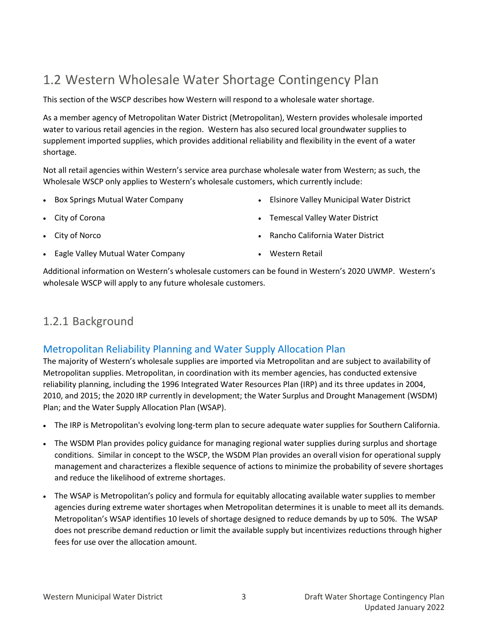## <span id="page-8-0"></span>1.2 Western Wholesale Water Shortage Contingency Plan

This section of the WSCP describes how Western will respond to a wholesale water shortage.

As a member agency of Metropolitan Water District (Metropolitan), Western provides wholesale imported water to various retail agencies in the region. Western has also secured local groundwater supplies to supplement imported supplies, which provides additional reliability and flexibility in the event of a water shortage.

Not all retail agencies within Western's service area purchase wholesale water from Western; as such, the Wholesale WSCP only applies to Western's wholesale customers, which currently include:

• Box Springs Mutual Water Company

• Elsinore Valley Municipal Water District

- City of Corona
- City of Norco
- Eagle Valley Mutual Water Company
- Temescal Valley Water District
- Rancho California Water District
- Western Retail

Additional information on Western's wholesale customers can be found in Western's 2020 UWMP. Western's wholesale WSCP will apply to any future wholesale customers.

## <span id="page-8-1"></span>1.2.1 Background

## Metropolitan Reliability Planning and Water Supply Allocation Plan

The majority of Western's wholesale supplies are imported via Metropolitan and are subject to availability of Metropolitan supplies. Metropolitan, in coordination with its member agencies, has conducted extensive reliability planning, including the 1996 Integrated Water Resources Plan (IRP) and its three updates in 2004, 2010, and 2015; the 2020 IRP currently in development; the Water Surplus and Drought Management (WSDM) Plan; and the Water Supply Allocation Plan (WSAP).

- The IRP is Metropolitan's evolving long-term plan to secure adequate water supplies for Southern California.
- The WSDM Plan provides policy guidance for managing regional water supplies during surplus and shortage conditions. Similar in concept to the WSCP, the WSDM Plan provides an overall vision for operational supply management and characterizes a flexible sequence of actions to minimize the probability of severe shortages and reduce the likelihood of extreme shortages.
- The WSAP is Metropolitan's policy and formula for equitably allocating available water supplies to member agencies during extreme water shortages when Metropolitan determines it is unable to meet all its demands. Metropolitan's WSAP identifies 10 levels of shortage designed to reduce demands by up to 50%. The WSAP does not prescribe demand reduction or limit the available supply but incentivizes reductions through higher fees for use over the allocation amount.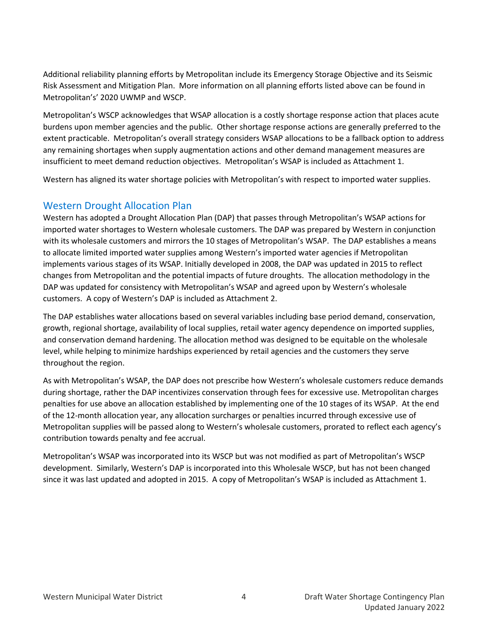Additional reliability planning efforts by Metropolitan include its Emergency Storage Objective and its Seismic Risk Assessment and Mitigation Plan. More information on all planning efforts listed above can be found in Metropolitan's' 2020 UWMP and WSCP.

Metropolitan's WSCP acknowledges that WSAP allocation is a costly shortage response action that places acute burdens upon member agencies and the public. Other shortage response actions are generally preferred to the extent practicable. Metropolitan's overall strategy considers WSAP allocations to be a fallback option to address any remaining shortages when supply augmentation actions and other demand management measures are insufficient to meet demand reduction objectives. Metropolitan's WSAP is included as Attachment 1.

Western has aligned its water shortage policies with Metropolitan's with respect to imported water supplies.

### Western Drought Allocation Plan

Western has adopted a Drought Allocation Plan (DAP) that passes through Metropolitan's WSAP actions for imported water shortages to Western wholesale customers. The DAP was prepared by Western in conjunction with its wholesale customers and mirrors the 10 stages of Metropolitan's WSAP. The DAP establishes a means to allocate limited imported water supplies among Western's imported water agencies if Metropolitan implements various stages of its WSAP. Initially developed in 2008, the DAP was updated in 2015 to reflect changes from Metropolitan and the potential impacts of future droughts. The allocation methodology in the DAP was updated for consistency with Metropolitan's WSAP and agreed upon by Western's wholesale customers. A copy of Western's DAP is included as Attachment 2.

The DAP establishes water allocations based on several variables including base period demand, conservation, growth, regional shortage, availability of local supplies, retail water agency dependence on imported supplies, and conservation demand hardening. The allocation method was designed to be equitable on the wholesale level, while helping to minimize hardships experienced by retail agencies and the customers they serve throughout the region.

As with Metropolitan's WSAP, the DAP does not prescribe how Western's wholesale customers reduce demands during shortage, rather the DAP incentivizes conservation through fees for excessive use. Metropolitan charges penalties for use above an allocation established by implementing one of the 10 stages of its WSAP. At the end of the 12-month allocation year, any allocation surcharges or penalties incurred through excessive use of Metropolitan supplies will be passed along to Western's wholesale customers, prorated to reflect each agency's contribution towards penalty and fee accrual.

Metropolitan's WSAP was incorporated into its WSCP but was not modified as part of Metropolitan's WSCP development. Similarly, Western's DAP is incorporated into this Wholesale WSCP, but has not been changed since it was last updated and adopted in 2015. A copy of Metropolitan's WSAP is included as Attachment 1.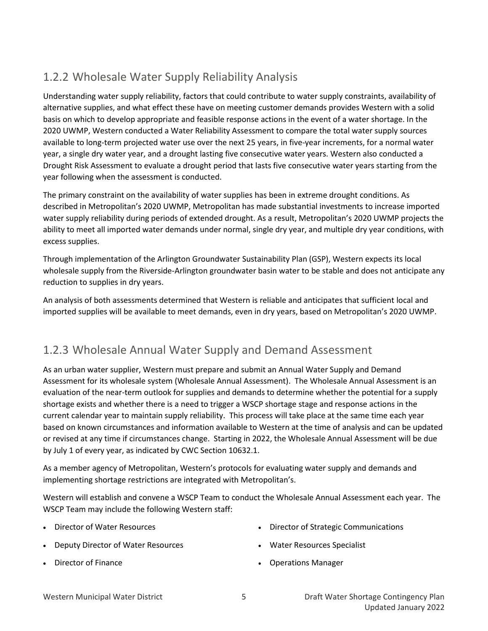## <span id="page-10-0"></span>1.2.2 Wholesale Water Supply Reliability Analysis

Understanding water supply reliability, factors that could contribute to water supply constraints, availability of alternative supplies, and what effect these have on meeting customer demands provides Western with a solid basis on which to develop appropriate and feasible response actions in the event of a water shortage. In the 2020 UWMP, Western conducted a Water Reliability Assessment to compare the total water supply sources available to long-term projected water use over the next 25 years, in five-year increments, for a normal water year, a single dry water year, and a drought lasting five consecutive water years. Western also conducted a Drought Risk Assessment to evaluate a drought period that lasts five consecutive water years starting from the year following when the assessment is conducted.

The primary constraint on the availability of water supplies has been in extreme drought conditions. As described in Metropolitan's 2020 UWMP, Metropolitan has made substantial investments to increase imported water supply reliability during periods of extended drought. As a result, Metropolitan's 2020 UWMP projects the ability to meet all imported water demands under normal, single dry year, and multiple dry year conditions, with excess supplies.

Through implementation of the Arlington Groundwater Sustainability Plan (GSP), Western expects its local wholesale supply from the Riverside-Arlington groundwater basin water to be stable and does not anticipate any reduction to supplies in dry years.

An analysis of both assessments determined that Western is reliable and anticipates that sufficient local and imported supplies will be available to meet demands, even in dry years, based on Metropolitan's 2020 UWMP.

## <span id="page-10-1"></span>1.2.3 Wholesale Annual Water Supply and Demand Assessment

As an urban water supplier, Western must prepare and submit an Annual Water Supply and Demand Assessment for its wholesale system (Wholesale Annual Assessment). The Wholesale Annual Assessment is an evaluation of the near-term outlook for supplies and demands to determine whether the potential for a supply shortage exists and whether there is a need to trigger a WSCP shortage stage and response actions in the current calendar year to maintain supply reliability. This process will take place at the same time each year based on known circumstances and information available to Western at the time of analysis and can be updated or revised at any time if circumstances change. Starting in 2022, the Wholesale Annual Assessment will be due by July 1 of every year, as indicated by CWC Section 10632.1.

As a member agency of Metropolitan, Western's protocols for evaluating water supply and demands and implementing shortage restrictions are integrated with Metropolitan's.

Western will establish and convene a WSCP Team to conduct the Wholesale Annual Assessment each year. The WSCP Team may include the following Western staff:

- Director of Water Resources
- Deputy Director of Water Resources
- Director of Finance
- Director of Strategic Communications
- Water Resources Specialist
- Operations Manager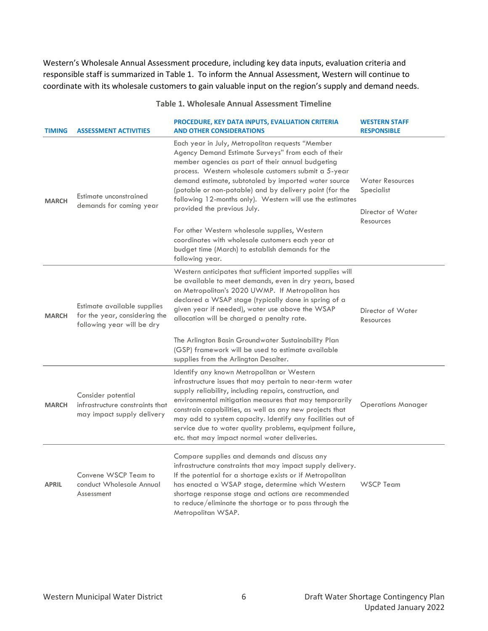Western's Wholesale Annual Assessment procedure, including key data inputs, evaluation criteria and responsible staff is summarized in [Table 1.](#page-11-0) To inform the Annual Assessment, Western will continue to coordinate with its wholesale customers to gain valuable input on the region's supply and demand needs.

#### **Table 1. Wholesale Annual Assessment Timeline**

<span id="page-11-0"></span>

| <b>TIMING</b> | <b>ASSESSMENT ACTIVITIES</b>                                                               | PROCEDURE, KEY DATA INPUTS, EVALUATION CRITERIA<br><b>AND OTHER CONSIDERATIONS</b>                                                                                                                                                                                                                                                                                                                                                                                    | <b>WESTERN STAFF</b><br><b>RESPONSIBLE</b>                             |
|---------------|--------------------------------------------------------------------------------------------|-----------------------------------------------------------------------------------------------------------------------------------------------------------------------------------------------------------------------------------------------------------------------------------------------------------------------------------------------------------------------------------------------------------------------------------------------------------------------|------------------------------------------------------------------------|
| <b>MARCH</b>  | Estimate unconstrained<br>demands for coming year                                          | Each year in July, Metropolitan requests "Member<br>Agency Demand Estimate Surveys" from each of their<br>member agencies as part of their annual budgeting<br>process. Western wholesale customers submit a 5-year<br>demand estimate, subtotaled by imported water source<br>(potable or non-potable) and by delivery point (for the<br>following 12-months only). Western will use the estimates<br>provided the previous July.                                    | <b>Water Resources</b><br>Specialist<br>Director of Water<br>Resources |
|               |                                                                                            | For other Western wholesale supplies, Western<br>coordinates with wholesale customers each year at<br>budget time (March) to establish demands for the<br>following year.                                                                                                                                                                                                                                                                                             |                                                                        |
| <b>MARCH</b>  | Estimate available supplies<br>for the year, considering the<br>following year will be dry | Western anticipates that sufficient imported supplies will<br>be available to meet demands, even in dry years, based<br>on Metropolitan's 2020 UWMP. If Metropolitan has<br>declared a WSAP stage (typically done in spring of a<br>given year if needed), water use above the WSAP<br>allocation will be charged a penalty rate.                                                                                                                                     | Director of Water<br>Resources                                         |
|               |                                                                                            | The Arlington Basin Groundwater Sustainability Plan<br>(GSP) framework will be used to estimate available<br>supplies from the Arlington Desalter.                                                                                                                                                                                                                                                                                                                    |                                                                        |
| <b>MARCH</b>  | Consider potential<br>infrastructure constraints that<br>may impact supply delivery        | Identify any known Metropolitan or Western<br>infrastructure issues that may pertain to near-term water<br>supply reliability, including repairs, construction, and<br>environmental mitigation measures that may temporarily<br>constrain capabilities, as well as any new projects that<br>may add to system capacity. Identify any facilities out of<br>service due to water quality problems, equipment failure,<br>etc. that may impact normal water deliveries. | <b>Operations Manager</b>                                              |
| <b>APRIL</b>  | Convene WSCP Team to<br>conduct Wholesale Annual<br>Assessment                             | Compare supplies and demands and discuss any<br>infrastructure constraints that may impact supply delivery.<br>If the potential for a shortage exists or if Metropolitan<br>has enacted a WSAP stage, determine which Western<br>shortage response stage and actions are recommended<br>to reduce/eliminate the shortage or to pass through the<br>Metropolitan WSAP.                                                                                                 | <b>WSCP Team</b>                                                       |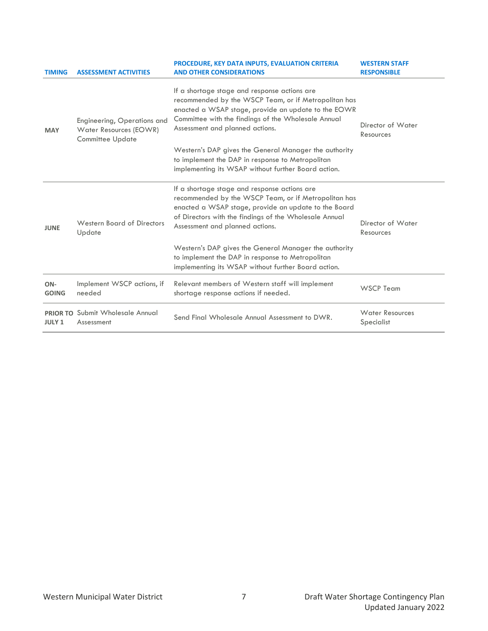| <b>TIMING</b>       | <b>ASSESSMENT ACTIVITIES</b>                                                     | PROCEDURE, KEY DATA INPUTS, EVALUATION CRITERIA<br><b>AND OTHER CONSIDERATIONS</b>                                                                                                                                                                        | <b>WESTERN STAFF</b><br><b>RESPONSIBLE</b> |
|---------------------|----------------------------------------------------------------------------------|-----------------------------------------------------------------------------------------------------------------------------------------------------------------------------------------------------------------------------------------------------------|--------------------------------------------|
| <b>MAY</b>          | Engineering, Operations and<br>Water Resources (EOWR)<br><b>Committee Update</b> | If a shortage stage and response actions are<br>recommended by the WSCP Team, or if Metropolitan has<br>enacted a WSAP stage, provide an update to the EOWR<br>Committee with the findings of the Wholesale Annual<br>Assessment and planned actions.     | Director of Water<br>Resources             |
|                     |                                                                                  | Western's DAP gives the General Manager the authority<br>to implement the DAP in response to Metropolitan<br>implementing its WSAP without further Board action.                                                                                          |                                            |
| <b>JUNE</b>         | Western Board of Directors<br>Update                                             | If a shortage stage and response actions are<br>recommended by the WSCP Team, or if Metropolitan has<br>enacted a WSAP stage, provide an update to the Board<br>of Directors with the findings of the Wholesale Annual<br>Assessment and planned actions. | Director of Water<br>Resources             |
|                     |                                                                                  | Western's DAP gives the General Manager the authority<br>to implement the DAP in response to Metropolitan<br>implementing its WSAP without further Board action.                                                                                          |                                            |
| ON-<br><b>GOING</b> | Implement WSCP actions, if<br>needed                                             | Relevant members of Western staff will implement<br>shortage response actions if needed.                                                                                                                                                                  | <b>WSCP Team</b>                           |
| <b>JULY 1</b>       | PRIOR TO Submit Wholesale Annual<br>Assessment                                   | Send Final Wholesale Annual Assessment to DWR.                                                                                                                                                                                                            | <b>Water Resources</b><br>Specialist       |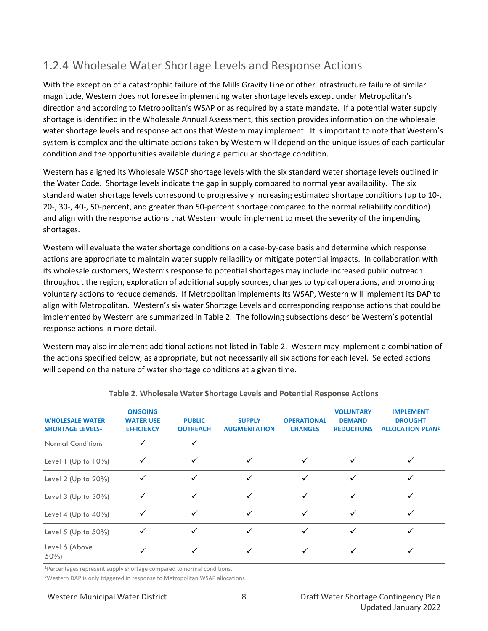## <span id="page-13-0"></span>1.2.4 Wholesale Water Shortage Levels and Response Actions

With the exception of a catastrophic failure of the Mills Gravity Line or other infrastructure failure of similar magnitude, Western does not foresee implementing water shortage levels except under Metropolitan's direction and according to Metropolitan's WSAP or as required by a state mandate. If a potential water supply shortage is identified in the Wholesale Annual Assessment, this section provides information on the wholesale water shortage levels and response actions that Western may implement. It is important to note that Western's system is complex and the ultimate actions taken by Western will depend on the unique issues of each particular condition and the opportunities available during a particular shortage condition.

Western has aligned its Wholesale WSCP shortage levels with the six standard water shortage levels outlined in the Water Code.  Shortage levels indicate the gap in supply compared to normal year availability.  The six standard water shortage levels correspond to progressively increasing estimated shortage conditions (up to 10-, 20-, 30-, 40-, 50-percent, and greater than 50-percent shortage compared to the normal reliability condition) and align with the response actions that Western would implement to meet the severity of the impending shortages.

Western will evaluate the water shortage conditions on a case-by-case basis and determine which response actions are appropriate to maintain water supply reliability or mitigate potential impacts. In collaboration with its wholesale customers, Western's response to potential shortages may include increased public outreach throughout the region, exploration of additional supply sources, changes to typical operations, and promoting voluntary actions to reduce demands. If Metropolitan implements its WSAP, Western will implement its DAP to align with Metropolitan. Western's six water Shortage Levels and corresponding response actions that could be implemented by Western are summarized in [Table 2](#page-13-1). The following subsections describe Western's potential response actions in more detail.

Western may also implement additional actions not listed in [Table 2.](#page-13-1) Western may implement a combination of the actions specified below, as appropriate, but not necessarily all six actions for each level. Selected actions will depend on the nature of water shortage conditions at a given time.

<span id="page-13-1"></span>

| <b>WHOLESALE WATER</b><br><b>SHORTAGE LEVELS1</b> | <b>ONGOING</b><br><b>WATER USE</b><br><b>EFFICIENCY</b> | <b>PUBLIC</b><br><b>OUTREACH</b> | <b>SUPPLY</b><br><b>AUGMENTATION</b> | <b>OPERATIONAL</b><br><b>CHANGES</b> | <b>VOLUNTARY</b><br><b>DEMAND</b><br><b>REDUCTIONS</b> | <b>IMPLEMENT</b><br><b>DROUGHT</b><br><b>ALLOCATION PLAN2</b> |
|---------------------------------------------------|---------------------------------------------------------|----------------------------------|--------------------------------------|--------------------------------------|--------------------------------------------------------|---------------------------------------------------------------|
| <b>Normal Conditions</b>                          |                                                         |                                  |                                      |                                      |                                                        |                                                               |
| Level 1 (Up to $10\%$ )                           | ✓                                                       |                                  | ✓                                    | ✓                                    |                                                        |                                                               |
| Level 2 (Up to $20\%$ )                           | ✓                                                       | ✓                                | ✓                                    | ✓                                    |                                                        |                                                               |
| Level $3$ (Up to $30\%$ )                         |                                                         |                                  |                                      |                                      |                                                        |                                                               |
| Level 4 (Up to $40\%$ )                           | ✓                                                       | ✓                                | ✓                                    | $\checkmark$                         |                                                        |                                                               |
| Level 5 (Up to $50\%$ )                           | ✓                                                       |                                  |                                      | ✓                                    |                                                        |                                                               |
| Level 6 (Above<br>$50\%$                          |                                                         |                                  |                                      |                                      |                                                        |                                                               |

**Table 2. Wholesale Water Shortage Levels and Potential Response Actions**

**<sup>1</sup>**Percentages represent supply shortage compared to normal conditions.

**2**Western DAP is only triggered in response to Metropolitan WSAP allocations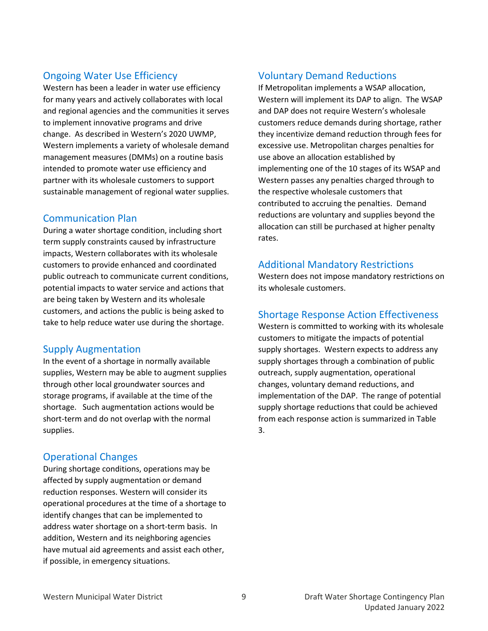## Ongoing Water Use Efficiency

Western has been a leader in water use efficiency for many years and actively collaborates with local and regional agencies and the communities it serves to implement innovative programs and drive change. As described in Western's 2020 UWMP, Western implements a variety of wholesale demand management measures (DMMs) on a routine basis intended to promote water use efficiency and partner with its wholesale customers to support sustainable management of regional water supplies.

## Communication Plan

During a water shortage condition, including short term supply constraints caused by infrastructure impacts, Western collaborates with its wholesale customers to provide enhanced and coordinated public outreach to communicate current conditions, potential impacts to water service and actions that are being taken by Western and its wholesale customers, and actions the public is being asked to take to help reduce water use during the shortage.

### Supply Augmentation

In the event of a shortage in normally available supplies, Western may be able to augment supplies through other local groundwater sources and storage programs, if available at the time of the shortage. Such augmentation actions would be short-term and do not overlap with the normal supplies.

## Operational Changes

During shortage conditions, operations may be affected by supply augmentation or demand reduction responses. Western will consider its operational procedures at the time of a shortage to identify changes that can be implemented to address water shortage on a short-term basis. In addition, Western and its neighboring agencies have mutual aid agreements and assist each other, if possible, in emergency situations.

## Voluntary Demand Reductions

If Metropolitan implements a WSAP allocation, Western will implement its DAP to align. The WSAP and DAP does not require Western's wholesale customers reduce demands during shortage, rather they incentivize demand reduction through fees for excessive use. Metropolitan charges penalties for use above an allocation established by implementing one of the 10 stages of its WSAP and Western passes any penalties charged through to the respective wholesale customers that contributed to accruing the penalties. Demand reductions are voluntary and supplies beyond the allocation can still be purchased at higher penalty rates.

#### Additional Mandatory Restrictions

Western does not impose mandatory restrictions on its wholesale customers.

## Shortage Response Action Effectiveness

Western is committed to working with its wholesale customers to mitigate the impacts of potential supply shortages. Western expects to address any supply shortages through a combination of public outreach, supply augmentation, operational changes, voluntary demand reductions, and implementation of the DAP. The range of potential supply shortage reductions that could be achieved from each response action is summarized in [Table](#page-15-2)  [3.](#page-15-2)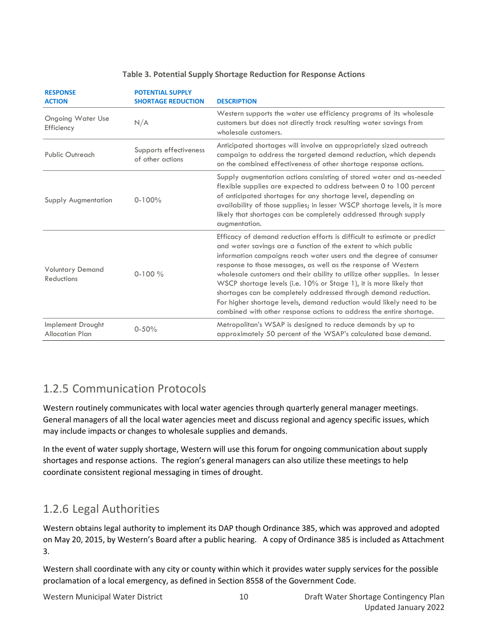<span id="page-15-2"></span>

| <b>RESPONSE</b><br><b>ACTION</b>             | <b>POTENTIAL SUPPLY</b><br><b>SHORTAGE REDUCTION</b> | <b>DESCRIPTION</b>                                                                                                                                                                                                                                                                                                                                                                                                                                                                                                                                                                                                                                        |
|----------------------------------------------|------------------------------------------------------|-----------------------------------------------------------------------------------------------------------------------------------------------------------------------------------------------------------------------------------------------------------------------------------------------------------------------------------------------------------------------------------------------------------------------------------------------------------------------------------------------------------------------------------------------------------------------------------------------------------------------------------------------------------|
| <b>Ongoing Water Use</b><br>Efficiency       | N/A                                                  | Western supports the water use efficiency programs of its wholesale<br>customers but does not directly track resulting water savings from<br>wholesale customers.                                                                                                                                                                                                                                                                                                                                                                                                                                                                                         |
| Public Outreach                              | Supports effectiveness<br>of other actions           | Anticipated shortages will involve an appropriately sized outreach<br>campaign to address the targeted demand reduction, which depends<br>on the combined effectiveness of other shortage response actions.                                                                                                                                                                                                                                                                                                                                                                                                                                               |
| Supply Augmentation                          | $0 - 100%$                                           | Supply augmentation actions consisting of stored water and as-needed<br>flexible supplies are expected to address between 0 to 100 percent<br>of anticipated shortages for any shortage level, depending on<br>availability of those supplies; in lesser WSCP shortage levels, it is more<br>likely that shortages can be completely addressed through supply<br>augmentation.                                                                                                                                                                                                                                                                            |
| <b>Voluntary Demand</b><br><b>Reductions</b> | $0-100\%$                                            | Efficacy of demand reduction efforts is difficult to estimate or predict<br>and water savings are a function of the extent to which public<br>information campaigns reach water users and the degree of consumer<br>response to those messages, as well as the response of Western<br>wholesale customers and their ability to utilize other supplies. In lesser<br>WSCP shortage levels (i.e. 10% or Stage 1), it is more likely that<br>shortages can be completely addressed through demand reduction.<br>For higher shortage levels, demand reduction would likely need to be<br>combined with other response actions to address the entire shortage. |
| Implement Drought<br><b>Allocation Plan</b>  | $0 - 50%$                                            | Metropolitan's WSAP is designed to reduce demands by up to<br>approximately 50 percent of the WSAP's calculated base demand.                                                                                                                                                                                                                                                                                                                                                                                                                                                                                                                              |

#### **Table 3. Potential Supply Shortage Reduction for Response Actions**

## <span id="page-15-0"></span>1.2.5 Communication Protocols

Western routinely communicates with local water agencies through quarterly general manager meetings. General managers of all the local water agencies meet and discuss regional and agency specific issues, which may include impacts or changes to wholesale supplies and demands.

In the event of water supply shortage, Western will use this forum for ongoing communication about supply shortages and response actions. The region's general managers can also utilize these meetings to help coordinate consistent regional messaging in times of drought.

## <span id="page-15-1"></span>1.2.6 Legal Authorities

Western obtains legal authority to implement its DAP though Ordinance 385, which was approved and adopted on May 20, 2015, by Western's Board after a public hearing. A copy of Ordinance 385 is included as Attachment 3.

Western shall coordinate with any city or county within which it provides water supply services for the possible proclamation of a local emergency, as defined in Section 8558 of the Government Code.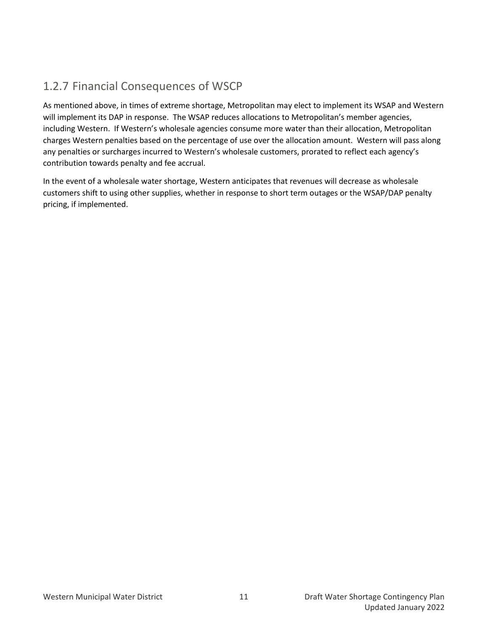## <span id="page-16-0"></span>1.2.7 Financial Consequences of WSCP

As mentioned above, in times of extreme shortage, Metropolitan may elect to implement its WSAP and Western will implement its DAP in response. The WSAP reduces allocations to Metropolitan's member agencies, including Western. If Western's wholesale agencies consume more water than their allocation, Metropolitan charges Western penalties based on the percentage of use over the allocation amount. Western will pass along any penalties or surcharges incurred to Western's wholesale customers, prorated to reflect each agency's contribution towards penalty and fee accrual.

In the event of a wholesale water shortage, Western anticipates that revenues will decrease as wholesale customers shift to using other supplies, whether in response to short term outages or the WSAP/DAP penalty pricing, if implemented.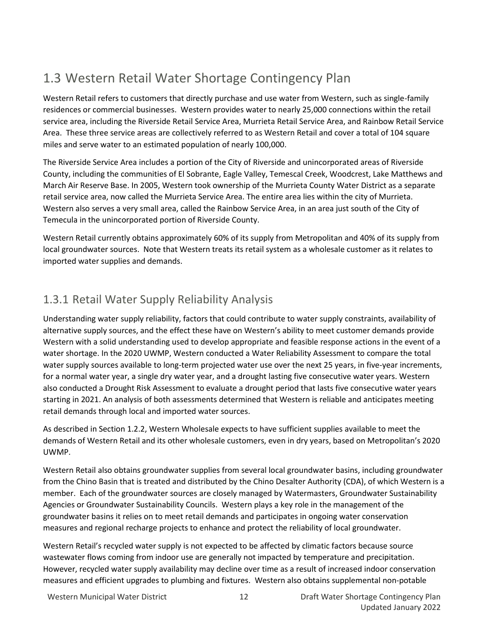## <span id="page-17-0"></span>1.3 Western Retail Water Shortage Contingency Plan

Western Retail refers to customers that directly purchase and use water from Western, such as single-family residences or commercial businesses. Western provides water to nearly 25,000 connections within the retail service area, including the Riverside Retail Service Area, Murrieta Retail Service Area, and Rainbow Retail Service Area. These three service areas are collectively referred to as Western Retail and cover a total of 104 square miles and serve water to an estimated population of nearly 100,000.

The Riverside Service Area includes a portion of the City of Riverside and unincorporated areas of Riverside County, including the communities of El Sobrante, Eagle Valley, Temescal Creek, Woodcrest, Lake Matthews and March Air Reserve Base. In 2005, Western took ownership of the Murrieta County Water District as a separate retail service area, now called the Murrieta Service Area. The entire area lies within the city of Murrieta. Western also serves a very small area, called the Rainbow Service Area, in an area just south of the City of Temecula in the unincorporated portion of Riverside County.

Western Retail currently obtains approximately 60% of its supply from Metropolitan and 40% of its supply from local groundwater sources. Note that Western treats its retail system as a wholesale customer as it relates to imported water supplies and demands.

## <span id="page-17-1"></span>1.3.1 Retail Water Supply Reliability Analysis

Understanding water supply reliability, factors that could contribute to water supply constraints, availability of alternative supply sources, and the effect these have on Western's ability to meet customer demands provide Western with a solid understanding used to develop appropriate and feasible response actions in the event of a water shortage. In the 2020 UWMP, Western conducted a Water Reliability Assessment to compare the total water supply sources available to long-term projected water use over the next 25 years, in five-year increments, for a normal water year, a single dry water year, and a drought lasting five consecutive water years. Western also conducted a Drought Risk Assessment to evaluate a drought period that lasts five consecutive water years starting in 2021. An analysis of both assessments determined that Western is reliable and anticipates meeting retail demands through local and imported water sources.

As described in Sectio[n 1.2.2,](#page-10-0) Western Wholesale expects to have sufficient supplies available to meet the demands of Western Retail and its other wholesale customers, even in dry years, based on Metropolitan's 2020 UWMP.

Western Retail also obtains groundwater supplies from several local groundwater basins, including groundwater from the Chino Basin that is treated and distributed by the Chino Desalter Authority (CDA), of which Western is a member. Each of the groundwater sources are closely managed by Watermasters, Groundwater Sustainability Agencies or Groundwater Sustainability Councils. Western plays a key role in the management of the groundwater basins it relies on to meet retail demands and participates in ongoing water conservation measures and regional recharge projects to enhance and protect the reliability of local groundwater.

Western Retail's recycled water supply is not expected to be affected by climatic factors because source wastewater flows coming from indoor use are generally not impacted by temperature and precipitation. However, recycled water supply availability may decline over time as a result of increased indoor conservation measures and efficient upgrades to plumbing and fixtures. Western also obtains supplemental non-potable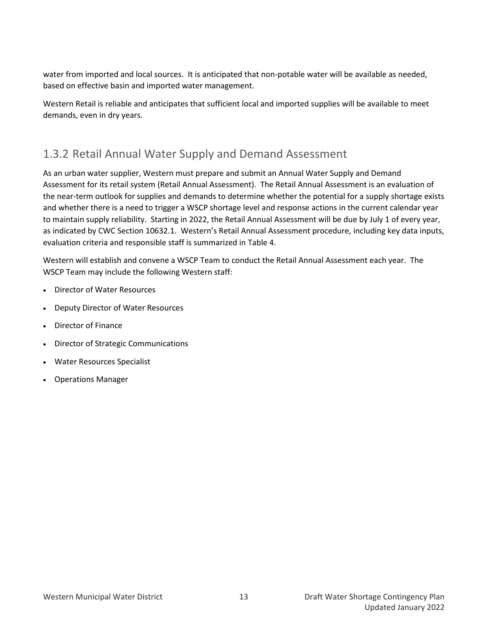water from imported and local sources. It is anticipated that non-potable water will be available as needed, based on effective basin and imported water management.

Western Retail is reliable and anticipates that sufficient local and imported supplies will be available to meet demands, even in dry years.

## <span id="page-18-0"></span>1.3.2 Retail Annual Water Supply and Demand Assessment

As an urban water supplier, Western must prepare and submit an Annual Water Supply and Demand Assessment for its retail system (Retail Annual Assessment). The Retail Annual Assessment is an evaluation of the near-term outlook for supplies and demands to determine whether the potential for a supply shortage exists and whether there is a need to trigger a WSCP shortage level and response actions in the current calendar year to maintain supply reliability. Starting in 2022, the Retail Annual Assessment will be due by July 1 of every year, as indicated by CWC Section 10632.1. Western's Retail Annual Assessment procedure, including key data inputs, evaluation criteria and responsible staff is summarized in [Table 4.](#page-19-0)

Western will establish and convene a WSCP Team to conduct the Retail Annual Assessment each year. The WSCP Team may include the following Western staff:

- Director of Water Resources
- Deputy Director of Water Resources
- Director of Finance
- Director of Strategic Communications
- Water Resources Specialist
- Operations Manager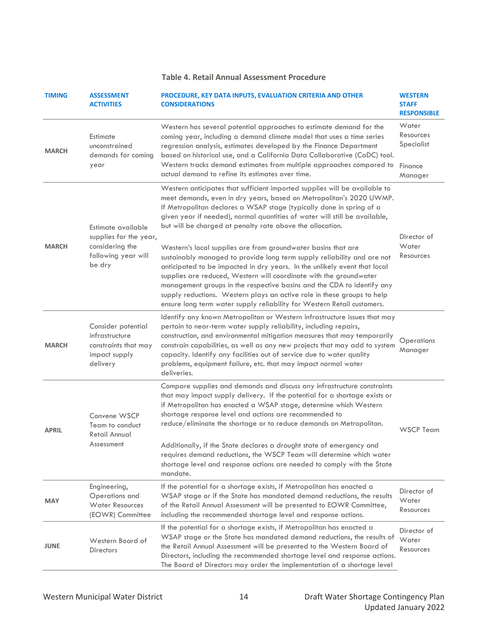#### **Table 4. Retail Annual Assessment Procedure**

<span id="page-19-0"></span>

| <b>TIMING</b> | <b>ASSESSMENT</b><br><b>ACTIVITIES</b>                                                    | PROCEDURE, KEY DATA INPUTS, EVALUATION CRITERIA AND OTHER<br><b>CONSIDERATIONS</b>                                                                                                                                                                                                                                                                                                                                                                                                                                          | <b>WESTERN</b><br><b>STAFF</b><br><b>RESPONSIBLE</b> |
|---------------|-------------------------------------------------------------------------------------------|-----------------------------------------------------------------------------------------------------------------------------------------------------------------------------------------------------------------------------------------------------------------------------------------------------------------------------------------------------------------------------------------------------------------------------------------------------------------------------------------------------------------------------|------------------------------------------------------|
| <b>MARCH</b>  | Estimate<br>unconstrained<br>demands for coming                                           | Western has several potential approaches to estimate demand for the<br>coming year, including a demand climate model that uses a time series<br>regression analysis, estimates developed by the Finance Department<br>based on historical use, and a California Data Collaborative (CaDC) tool.                                                                                                                                                                                                                             | Water<br>Resources<br>Specialist                     |
|               | year                                                                                      | Western tracks demand estimates from multiple approaches compared to<br>actual demand to refine its estimates over time.                                                                                                                                                                                                                                                                                                                                                                                                    | Finance<br>Manager                                   |
|               | Estimate available                                                                        | Western anticipates that sufficient imported supplies will be available to<br>meet demands, even in dry years, based on Metropolitan's 2020 UWMP.<br>If Metropolitan declares a WSAP stage (typically done in spring of a<br>given year if needed), normal quantities of water will still be available,<br>but will be charged at penalty rate above the allocation.                                                                                                                                                        |                                                      |
| <b>MARCH</b>  | supplies for the year,<br>considering the<br>following year will<br>be dry                | Western's local supplies are from groundwater basins that are<br>sustainably managed to provide long term supply reliability and are not<br>anticipated to be impacted in dry years. In the unlikely event that local<br>supplies are reduced, Western will coordinate with the groundwater<br>management groups in the respective basins and the CDA to identify any<br>supply reductions. Western plays an active role in these groups to help<br>ensure long term water supply reliability for Western Retail customers. | Director of<br>Water<br>Resources                    |
| <b>MARCH</b>  | Consider potential<br>infrastructure<br>constraints that may<br>impact supply<br>delivery | Identify any known Metropolitan or Western infrastructure issues that may<br>pertain to near-term water supply reliability, including repairs,<br>construction, and environmental mitigation measures that may temporarily<br>constrain capabilities, as well as any new projects that may add to system<br>capacity. Identify any facilities out of service due to water quality<br>problems, equipment failure, etc. that may impact normal water<br>deliveries.                                                          | Operations<br>Manager                                |
| <b>APRIL</b>  | Convene WSCP<br>Team to conduct<br>Retail Annual                                          | Compare supplies and demands and discuss any infrastructure constraints<br>that may impact supply delivery. If the potential for a shortage exists or<br>if Metropolitan has enacted a WSAP stage, determine which Western<br>shortage response level and actions are recommended to<br>reduce/eliminate the shortage or to reduce demands on Metropolitan.                                                                                                                                                                 | <b>WSCP Team</b>                                     |
|               | Assessment                                                                                | Additionally, if the State declares a drought state of emergency and<br>requires demand reductions, the WSCP Team will determine which water<br>shortage level and response actions are needed to comply with the State<br>mandate.                                                                                                                                                                                                                                                                                         |                                                      |
| <b>MAY</b>    | Engineering,<br>Operations and<br><b>Water Resources</b><br>(EOWR) Committee              | If the potential for a shortage exists, if Metropolitan has enacted a<br>WSAP stage or if the State has mandated demand reductions, the results<br>of the Retail Annual Assessment will be presented to EOWR Committee,<br>including the recommended shortage level and response actions.                                                                                                                                                                                                                                   | Director of<br>Water<br>Resources                    |
| <b>JUNE</b>   | Western Board of<br>Directors                                                             | If the potential for a shortage exists, if Metropolitan has enacted a<br>WSAP stage or the State has mandated demand reductions, the results of<br>the Retail Annual Assessment will be presented to the Western Board of<br>Directors, including the recommended shortage level and response actions.<br>The Board of Directors may order the implementation of a shortage level                                                                                                                                           | Director of<br>Water<br>Resources                    |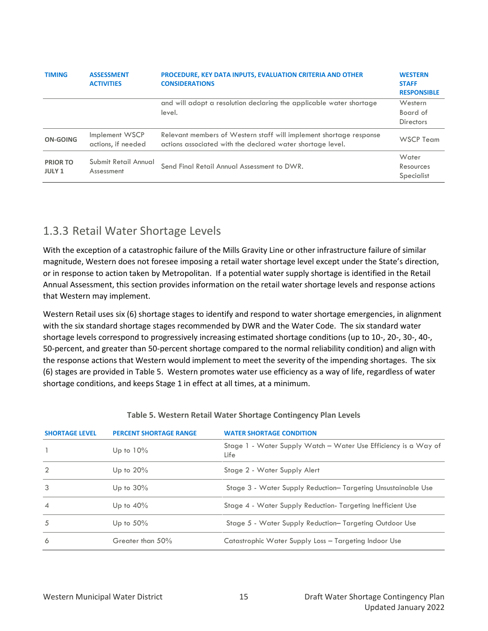| <b>TIMING</b>                    | <b>ASSESSMENT</b><br><b>ACTIVITIES</b> | <b>PROCEDURE, KEY DATA INPUTS, EVALUATION CRITERIA AND OTHER</b><br><b>CONSIDERATIONS</b>                                        | <b>WESTERN</b><br><b>STAFF</b><br><b>RESPONSIBLE</b> |
|----------------------------------|----------------------------------------|----------------------------------------------------------------------------------------------------------------------------------|------------------------------------------------------|
|                                  |                                        | and will adopt a resolution declaring the applicable water shortage<br>level.                                                    | Western<br>Board of<br><b>Directors</b>              |
| ON-GOING                         | Implement WSCP<br>actions, if needed   | Relevant members of Western staff will implement shortage response<br>actions associated with the declared water shortage level. | WSCP Team                                            |
| <b>PRIOR TO</b><br><b>JULY 1</b> | Submit Retail Annual<br>Assessment     | Send Final Retail Annual Assessment to DWR.                                                                                      | Water<br>Resources<br>Specialist                     |

## <span id="page-20-0"></span>1.3.3 Retail Water Shortage Levels

With the exception of a catastrophic failure of the Mills Gravity Line or other infrastructure failure of similar magnitude, Western does not foresee imposing a retail water shortage level except under the State's direction, or in response to action taken by Metropolitan. If a potential water supply shortage is identified in the Retail Annual Assessment, this section provides information on the retail water shortage levels and response actions that Western may implement.

Western Retail uses six (6) shortage stages to identify and respond to water shortage emergencies, in alignment with the six standard shortage stages recommended by DWR and the Water Code. The six standard water shortage levels correspond to progressively increasing estimated shortage conditions (up to 10-, 20-, 30-, 40-, 50-percent, and greater than 50-percent shortage compared to the normal reliability condition) and align with the response actions that Western would implement to meet the severity of the impending shortages. The six (6) stages are provided i[n Table 5.](#page-20-1) Western promotes water use efficiency as a way of life, regardless of water shortage conditions, and keeps Stage 1 in effect at all times, at a minimum.

<span id="page-20-1"></span>

| <b>SHORTAGE LEVEL</b> | <b>PERCENT SHORTAGE RANGE</b> | <b>WATER SHORTAGE CONDITION</b>                                         |
|-----------------------|-------------------------------|-------------------------------------------------------------------------|
|                       | Up to $10\%$                  | Stage 1 - Water Supply Watch – Water Use Efficiency is a Way of<br>Life |
| $\mathcal{P}$         | Up to $20\%$                  | Stage 2 - Water Supply Alert                                            |
| 3                     | Up to $30\%$                  | Stage 3 - Water Supply Reduction-Targeting Unsustainable Use            |
| $\overline{4}$        | Up to $40\%$                  | Stage 4 - Water Supply Reduction-Targeting Inefficient Use              |
| 5                     | Up to $50\%$                  | Stage 5 - Water Supply Reduction-Targeting Outdoor Use                  |
| 6                     | Greater than 50%              | Catastrophic Water Supply Loss - Targeting Indoor Use                   |

#### **Table 5. Western Retail Water Shortage Contingency Plan Levels**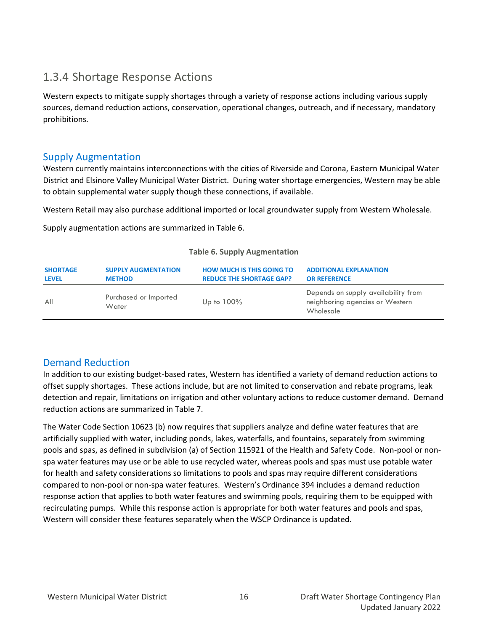## <span id="page-21-0"></span>1.3.4 Shortage Response Actions

Western expects to mitigate supply shortages through a variety of response actions including various supply sources, demand reduction actions, conservation, operational changes, outreach, and if necessary, mandatory prohibitions.

#### Supply Augmentation

Western currently maintains interconnections with the cities of Riverside and Corona, Eastern Municipal Water District and Elsinore Valley Municipal Water District. During water shortage emergencies, Western may be able to obtain supplemental water supply though these connections, if available.

Western Retail may also purchase additional imported or local groundwater supply from Western Wholesale.

Supply augmentation actions are summarized i[n Table 6.](#page-21-1)

<span id="page-21-1"></span>

| <b>SHORTAGE</b> | <b>SUPPLY AUGMENTATION</b>     | <b>HOW MUCH IS THIS GOING TO</b> | <b>ADDITIONAL EXPLANATION</b>                                                       |
|-----------------|--------------------------------|----------------------------------|-------------------------------------------------------------------------------------|
| <b>LEVEL</b>    | <b>METHOD</b>                  | <b>REDUCE THE SHORTAGE GAP?</b>  | <b>OR REFERENCE</b>                                                                 |
| All             | Purchased or Imported<br>Water | Up to $100\%$                    | Depends on supply availability from<br>neighboring agencies or Western<br>Wholesale |

#### **Table 6. Supply Augmentation**

### Demand Reduction

In addition to our existing budget-based rates, Western has identified a variety of demand reduction actions to offset supply shortages. These actions include, but are not limited to conservation and rebate programs, leak detection and repair, limitations on irrigation and other voluntary actions to reduce customer demand. Demand reduction actions are summarized i[n Table 7.](#page-22-0)

The Water Code Section 10623 (b) now requires that suppliers analyze and define water features that are artificially supplied with water, including ponds, lakes, waterfalls, and fountains, separately from swimming pools and spas, as defined in subdivision (a) of Section 115921 of the Health and Safety Code. Non-pool or nonspa water features may use or be able to use recycled water, whereas pools and spas must use potable water for health and safety considerations so limitations to pools and spas may require different considerations compared to non-pool or non-spa water features. Western's Ordinance 394 includes a demand reduction response action that applies to both water features and swimming pools, requiring them to be equipped with recirculating pumps. While this response action is appropriate for both water features and pools and spas, Western will consider these features separately when the WSCP Ordinance is updated.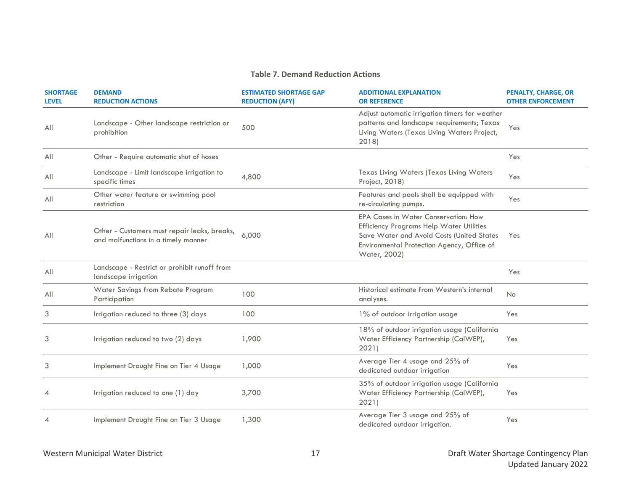#### **Table 7. Demand Reduction Actions**

<span id="page-22-0"></span>

| <b>SHORTAGE</b><br><b>LEVEL</b> | <b>DEMAND</b><br><b>REDUCTION ACTIONS</b>                                           | <b>ESTIMATED SHORTAGE GAP</b><br><b>REDUCTION (AFY)</b> | <b>ADDITIONAL EXPLANATION</b><br><b>OR REFERENCE</b>                                                                                                                                                      | <b>PENALTY, CHARGE, OR</b><br><b>OTHER ENFORCEMENT</b> |
|---------------------------------|-------------------------------------------------------------------------------------|---------------------------------------------------------|-----------------------------------------------------------------------------------------------------------------------------------------------------------------------------------------------------------|--------------------------------------------------------|
| All                             | Landscape - Other landscape restriction or<br>prohibition                           | 500                                                     | Adjust automatic irrigation timers for weather<br>patterns and landscape requirements; Texas<br>Living Waters (Texas Living Waters Project,<br>2018                                                       | Yes                                                    |
| All                             | Other - Require automatic shut of hoses                                             |                                                         |                                                                                                                                                                                                           | Yes                                                    |
| All                             | Landscape - Limit landscape irrigation to<br>specific times                         | 4,800                                                   | Texas Living Waters (Texas Living Waters<br>Project, 2018)                                                                                                                                                | Yes                                                    |
| All                             | Other water feature or swimming pool<br>restriction                                 |                                                         | Features and pools shall be equipped with<br>re-circulating pumps.                                                                                                                                        | Yes                                                    |
| All                             | Other - Customers must repair leaks, breaks,<br>and malfunctions in a timely manner | 6,000                                                   | <b>EPA Cases in Water Conservation: How</b><br><b>Efficiency Programs Help Water Utilities</b><br>Save Water and Avoid Costs (United States<br>Environmental Protection Agency, Office of<br>Water, 2002) | Yes                                                    |
| All                             | Landscape - Restrict or prohibit runoff from<br>landscape irrigation                |                                                         |                                                                                                                                                                                                           | Yes                                                    |
| All                             | Water Savings from Rebate Program<br>Participation                                  | 100                                                     | Historical estimate from Western's internal<br>analyses.                                                                                                                                                  | No                                                     |
| 3                               | Irrigation reduced to three (3) days                                                | 100                                                     | 1% of outdoor irrigation usage                                                                                                                                                                            | Yes                                                    |
| 3                               | Irrigation reduced to two (2) days                                                  | 1,900                                                   | 18% of outdoor irrigation usage (California<br>Water Efficiency Partnership (CalWEP),<br>2021)                                                                                                            | Yes                                                    |
| 3                               | Implement Drought Fine on Tier 4 Usage                                              | 1,000                                                   | Average Tier 4 usage and 25% of<br>dedicated outdoor irrigation                                                                                                                                           | Yes                                                    |
| $\overline{A}$                  | Irrigation reduced to one (1) day                                                   | 3,700                                                   | 35% of outdoor irrigation usage (California<br>Water Efficiency Partnership (CalWEP),<br>2021)                                                                                                            | Yes                                                    |
| $\overline{A}$                  | Implement Drought Fine on Tier 3 Usage                                              | 1,300                                                   | Average Tier 3 usage and 25% of<br>dedicated outdoor irrigation.                                                                                                                                          | Yes                                                    |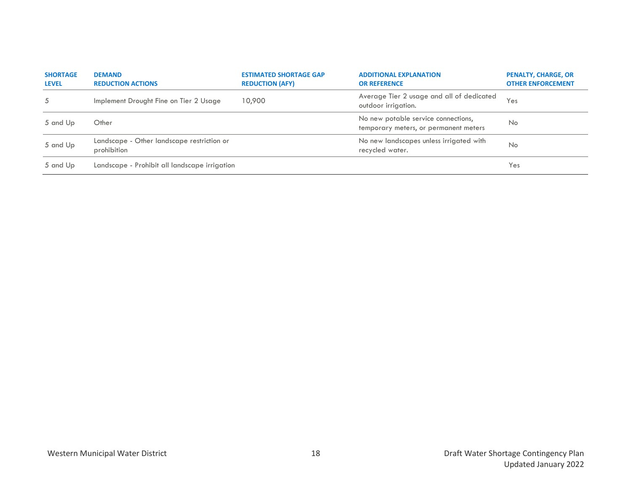| <b>SHORTAGE</b><br><b>LEVEL</b> | <b>DEMAND</b><br><b>REDUCTION ACTIONS</b>                 | <b>ESTIMATED SHORTAGE GAP</b><br><b>REDUCTION (AFY)</b> | <b>ADDITIONAL EXPLANATION</b><br><b>OR REFERENCE</b>                         | <b>PENALTY, CHARGE, OR</b><br><b>OTHER ENFORCEMENT</b> |
|---------------------------------|-----------------------------------------------------------|---------------------------------------------------------|------------------------------------------------------------------------------|--------------------------------------------------------|
| 5                               | Implement Drought Fine on Tier 2 Usage                    | 10,900                                                  | Average Tier 2 usage and all of dedicated<br>outdoor irrigation.             | Yes                                                    |
| 5 and Up                        | Other                                                     |                                                         | No new potable service connections,<br>temporary meters, or permanent meters | No                                                     |
| 5 and Up                        | Landscape - Other landscape restriction or<br>prohibition |                                                         | No new landscapes unless irrigated with<br>recycled water.                   | No                                                     |
| 5 and Up                        | Landscape - Prohibit all landscape irrigation             |                                                         |                                                                              | Yes                                                    |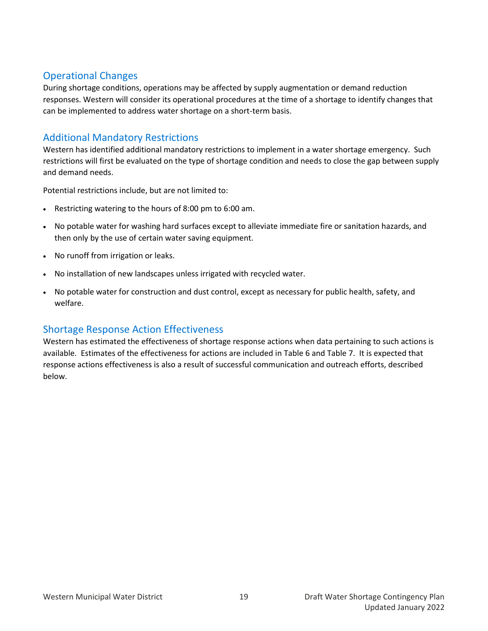## Operational Changes

During shortage conditions, operations may be affected by supply augmentation or demand reduction responses. Western will consider its operational procedures at the time of a shortage to identify changes that can be implemented to address water shortage on a short-term basis.

## Additional Mandatory Restrictions

Western has identified additional mandatory restrictions to implement in a water shortage emergency. Such restrictions will first be evaluated on the type of shortage condition and needs to close the gap between supply and demand needs.

Potential restrictions include, but are not limited to:

- Restricting watering to the hours of 8:00 pm to 6:00 am.
- No potable water for washing hard surfaces except to alleviate immediate fire or sanitation hazards, and then only by the use of certain water saving equipment.
- No runoff from irrigation or leaks.
- No installation of new landscapes unless irrigated with recycled water.
- No potable water for construction and dust control, except as necessary for public health, safety, and welfare.

### Shortage Response Action Effectiveness

Western has estimated the effectiveness of shortage response actions when data pertaining to such actions is available. Estimates of the effectiveness for actions are included in [Table 6](#page-21-1) an[d Table 7.](#page-22-0) It is expected that response actions effectiveness is also a result of successful communication and outreach efforts, described below.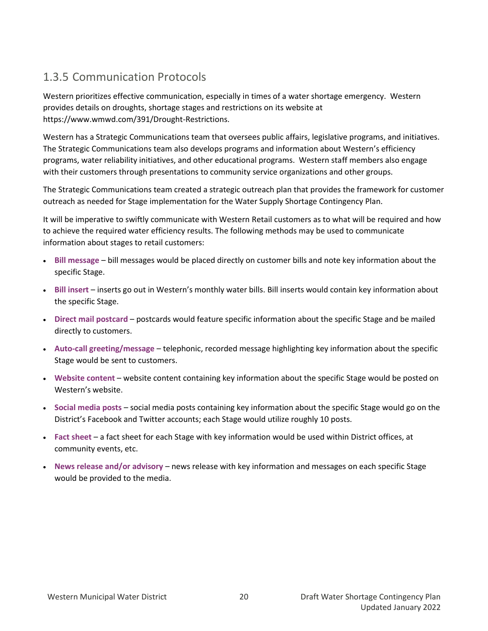## <span id="page-25-0"></span>1.3.5 Communication Protocols

Western prioritizes effective communication, especially in times of a water shortage emergency. Western provides details on droughts, shortage stages and restrictions on its website at https://www.wmwd.com/391/Drought-Restrictions.

Western has a Strategic Communications team that oversees public affairs, legislative programs, and initiatives. The Strategic Communications team also develops programs and information about Western's efficiency programs, water reliability initiatives, and other educational programs. Western staff members also engage with their customers through presentations to community service organizations and other groups.

The Strategic Communications team created a strategic outreach plan that provides the framework for customer outreach as needed for Stage implementation for the Water Supply Shortage Contingency Plan.

It will be imperative to swiftly communicate with Western Retail customers as to what will be required and how to achieve the required water efficiency results. The following methods may be used to communicate information about stages to retail customers:

- **Bill message** bill messages would be placed directly on customer bills and note key information about the specific Stage.
- **Bill insert**  inserts go out in Western's monthly water bills. Bill inserts would contain key information about the specific Stage.
- **Direct mail postcard**  postcards would feature specific information about the specific Stage and be mailed directly to customers.
- **Auto-call greeting/message**  telephonic, recorded message highlighting key information about the specific Stage would be sent to customers.
- **Website content** website content containing key information about the specific Stage would be posted on Western's website.
- **Social media posts**  social media posts containing key information about the specific Stage would go on the District's Facebook and Twitter accounts; each Stage would utilize roughly 10 posts.
- **Fact sheet**  a fact sheet for each Stage with key information would be used within District offices, at community events, etc.
- **News release and/or advisory** news release with key information and messages on each specific Stage would be provided to the media.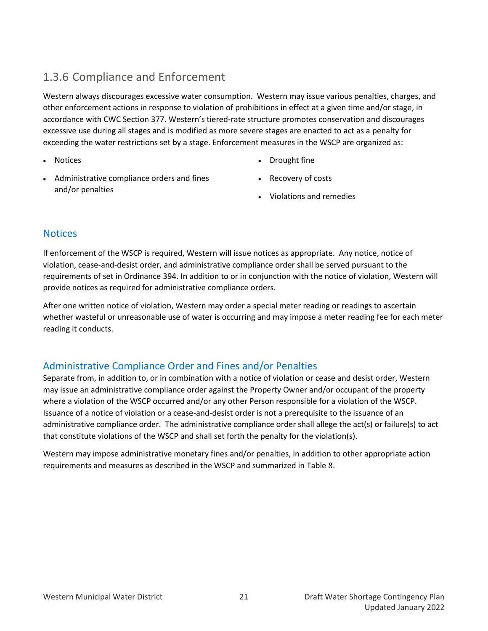## <span id="page-26-0"></span>1.3.6 Compliance and Enforcement

Western always discourages excessive water consumption. Western may issue various penalties, charges, and other enforcement actions in response to violation of prohibitions in effect at a given time and/or stage, in accordance with CWC Section 377. Western's tiered-rate structure promotes conservation and discourages excessive use during all stages and is modified as more severe stages are enacted to act as a penalty for exceeding the water restrictions set by a stage. Enforcement measures in the WSCP are organized as:

• Notices

- Drought fine
- Administrative compliance orders and fines and/or penalties
- Recovery of costs
- Violations and remedies

### **Notices**

If enforcement of the WSCP is required, Western will issue notices as appropriate. Any notice, notice of violation, cease-and-desist order, and administrative compliance order shall be served pursuant to the requirements of set in Ordinance 394. In addition to or in conjunction with the notice of violation, Western will provide notices as required for administrative compliance orders.

After one written notice of violation, Western may order a special meter reading or readings to ascertain whether wasteful or unreasonable use of water is occurring and may impose a meter reading fee for each meter reading it conducts.

### Administrative Compliance Order and Fines and/or Penalties

Separate from, in addition to, or in combination with a notice of violation or cease and desist order, Western may issue an administrative compliance order against the Property Owner and/or occupant of the property where a violation of the WSCP occurred and/or any other Person responsible for a violation of the WSCP. Issuance of a notice of violation or a cease-and-desist order is not a prerequisite to the issuance of an administrative compliance order. The administrative compliance order shall allege the act(s) or failure(s) to act that constitute violations of the WSCP and shall set forth the penalty for the violation(s).

Western may impose administrative monetary fines and/or penalties, in addition to other appropriate action requirements and measures as described in the WSCP and summarized in Table 8.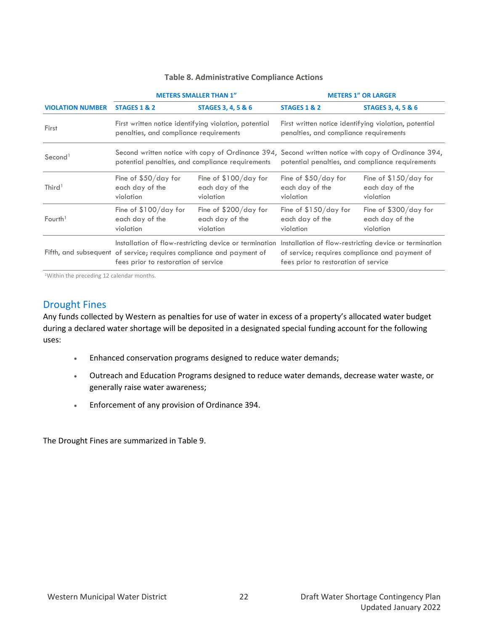#### **Table 8. Administrative Compliance Actions**

|                         |                                                                                                                 | <b>METERS SMALLER THAN 1"</b>                                                                         | <b>METERS 1" OR LARGER</b>                                                                                                                                                                              |                                                        |  |
|-------------------------|-----------------------------------------------------------------------------------------------------------------|-------------------------------------------------------------------------------------------------------|---------------------------------------------------------------------------------------------------------------------------------------------------------------------------------------------------------|--------------------------------------------------------|--|
| <b>VIOLATION NUMBER</b> | <b>STAGES 1 &amp; 2</b>                                                                                         | <b>STAGES 3, 4, 5 &amp; 6</b>                                                                         | <b>STAGES 1 &amp; 2</b>                                                                                                                                                                                 | <b>STAGES 3, 4, 5 &amp; 6</b>                          |  |
| First                   | penalties, and compliance requirements                                                                          | First written notice identifying violation, potential                                                 | First written notice identifying violation, potential<br>penalties, and compliance requirements                                                                                                         |                                                        |  |
| Second <sup>1</sup>     |                                                                                                                 | Second written notice with copy of Ordinance 394,<br>potential penalties, and compliance requirements | Second written notice with copy of Ordinance 394,<br>potential penalties, and compliance requirements                                                                                                   |                                                        |  |
| Third <sup>1</sup>      | Fine of $$50/day$ for<br>Fine of $$100/day$ for<br>each day of the<br>each day of the<br>violation<br>violation |                                                                                                       | Fine of $$50/day$ for<br>each day of the<br>violation                                                                                                                                                   | Fine of $$150/day$ for<br>each day of the<br>violation |  |
| Fourth <sup>1</sup>     | Fine of \$100/day for<br>Fine of \$200/day for<br>each day of the<br>each day of the<br>violation<br>violation  |                                                                                                       | Fine of \$150/day for<br>each day of the<br>violation                                                                                                                                                   | Fine of \$300/day for<br>each day of the<br>violation  |  |
|                         | Fifth, and subsequent of service; requires compliance and payment of<br>fees prior to restoration of service    |                                                                                                       | Installation of flow-restricting device or termination Installation of flow-restricting device or termination<br>of service; requires compliance and payment of<br>fees prior to restoration of service |                                                        |  |

<sup>1</sup>Within the preceding 12 calendar months.

#### Drought Fines

Any funds collected by Western as penalties for use of water in excess of a property's allocated water budget during a declared water shortage will be deposited in a designated special funding account for the following uses:

- Enhanced conservation programs designed to reduce water demands;
- Outreach and Education Programs designed to reduce water demands, decrease water waste, or generally raise water awareness;
- Enforcement of any provision of Ordinance 394.

The Drought Fines are summarized in Table 9.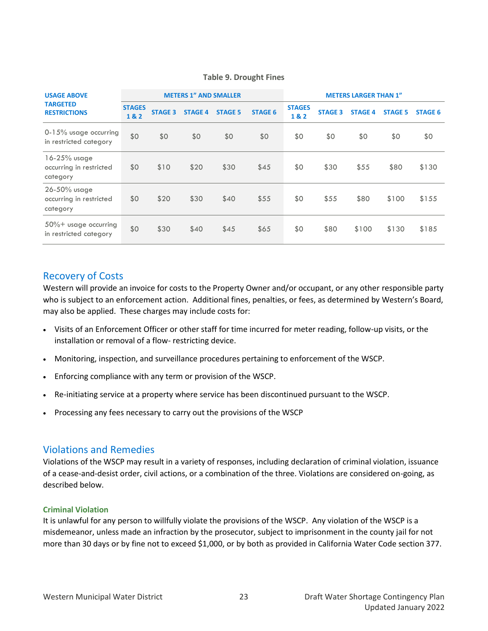| <b>USAGE ABOVE</b>                                  | <b>METERS 1" AND SMALLER</b> |                |                |                | <b>METERS LARGER THAN 1"</b> |                      |                |                |                |                |
|-----------------------------------------------------|------------------------------|----------------|----------------|----------------|------------------------------|----------------------|----------------|----------------|----------------|----------------|
| <b>TARGETED</b><br><b>RESTRICTIONS</b>              | <b>STAGES</b><br>1&2         | <b>STAGE 3</b> | <b>STAGE 4</b> | <b>STAGE 5</b> | <b>STAGE 6</b>               | <b>STAGES</b><br>1&2 | <b>STAGE 3</b> | <b>STAGE 4</b> | <b>STAGE 5</b> | <b>STAGE 6</b> |
| 0-15% usage occurring<br>in restricted category     | \$0                          | \$0            | \$0            | \$0            | \$0                          | \$0                  | \$0            | \$0            | \$0            | \$0            |
| 16-25% usage<br>occurring in restricted<br>category | \$0                          | \$10           | \$20           | \$30           | \$45                         | \$0                  | \$30           | \$55           | \$80           | \$130          |
| 26-50% usage<br>occurring in restricted<br>category | \$0                          | \$20           | \$30           | \$40           | \$55                         | \$0                  | \$55           | \$80           | \$100          | \$155          |
| $50\%$ + usage occurring<br>in restricted category  | \$0                          | \$30           | \$40           | \$45           | \$65                         | \$0                  | \$80           | \$100          | \$130          | \$185          |

#### **Table 9. Drought Fines**

### Recovery of Costs

Western will provide an invoice for costs to the Property Owner and/or occupant, or any other responsible party who is subject to an enforcement action. Additional fines, penalties, or fees, as determined by Western's Board, may also be applied. These charges may include costs for:

- Visits of an Enforcement Officer or other staff for time incurred for meter reading, follow-up visits, or the installation or removal of a flow- restricting device.
- Monitoring, inspection, and surveillance procedures pertaining to enforcement of the WSCP.
- Enforcing compliance with any term or provision of the WSCP.
- Re-initiating service at a property where service has been discontinued pursuant to the WSCP.
- Processing any fees necessary to carry out the provisions of the WSCP

#### Violations and Remedies

Violations of the WSCP may result in a variety of responses, including declaration of criminal violation, issuance of a cease-and-desist order, civil actions, or a combination of the three. Violations are considered on-going, as described below.

#### **Criminal Violation**

It is unlawful for any person to willfully violate the provisions of the WSCP. Any violation of the WSCP is a misdemeanor, unless made an infraction by the prosecutor, subject to imprisonment in the county jail for not more than 30 days or by fine not to exceed \$1,000, or by both as provided in California Water Code section 377.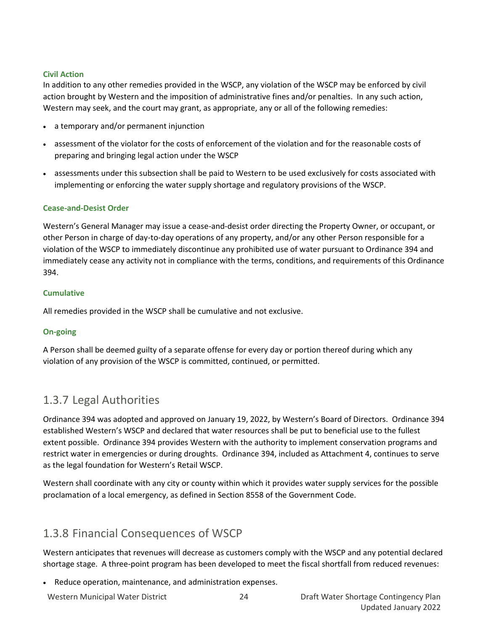#### **Civil Action**

In addition to any other remedies provided in the WSCP, any violation of the WSCP may be enforced by civil action brought by Western and the imposition of administrative fines and/or penalties. In any such action, Western may seek, and the court may grant, as appropriate, any or all of the following remedies:

- a temporary and/or permanent injunction
- assessment of the violator for the costs of enforcement of the violation and for the reasonable costs of preparing and bringing legal action under the WSCP
- assessments under this subsection shall be paid to Western to be used exclusively for costs associated with implementing or enforcing the water supply shortage and regulatory provisions of the WSCP.

#### **Cease-and-Desist Order**

Western's General Manager may issue a cease-and-desist order directing the Property Owner, or occupant, or other Person in charge of day-to-day operations of any property, and/or any other Person responsible for a violation of the WSCP to immediately discontinue any prohibited use of water pursuant to Ordinance 394 and immediately cease any activity not in compliance with the terms, conditions, and requirements of this Ordinance 394.

#### **Cumulative**

All remedies provided in the WSCP shall be cumulative and not exclusive.

#### **On-going**

A Person shall be deemed guilty of a separate offense for every day or portion thereof during which any violation of any provision of the WSCP is committed, continued, or permitted.

## <span id="page-29-0"></span>1.3.7 Legal Authorities

Ordinance 394 was adopted and approved on January 19, 2022, by Western's Board of Directors. Ordinance 394 established Western's WSCP and declared that water resources shall be put to beneficial use to the fullest extent possible. Ordinance 394 provides Western with the authority to implement conservation programs and restrict water in emergencies or during droughts. Ordinance 394, included as Attachment 4, continues to serve as the legal foundation for Western's Retail WSCP.

Western shall coordinate with any city or county within which it provides water supply services for the possible proclamation of a local emergency, as defined in Section 8558 of the Government Code.

## <span id="page-29-1"></span>1.3.8 Financial Consequences of WSCP

Western anticipates that revenues will decrease as customers comply with the WSCP and any potential declared shortage stage. A three-point program has been developed to meet the fiscal shortfall from reduced revenues:

- Reduce operation, maintenance, and administration expenses.
-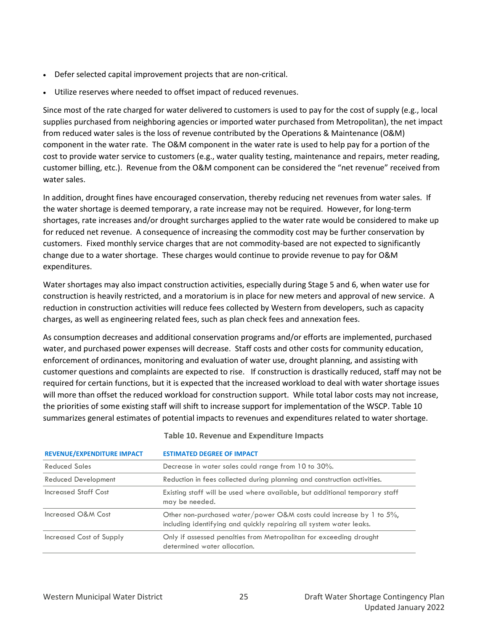- Defer selected capital improvement projects that are non-critical.
- Utilize reserves where needed to offset impact of reduced revenues.

Since most of the rate charged for water delivered to customers is used to pay for the cost of supply (e.g., local supplies purchased from neighboring agencies or imported water purchased from Metropolitan), the net impact from reduced water sales is the loss of revenue contributed by the Operations & Maintenance (O&M) component in the water rate. The O&M component in the water rate is used to help pay for a portion of the cost to provide water service to customers (e.g., water quality testing, maintenance and repairs, meter reading, customer billing, etc.). Revenue from the O&M component can be considered the "net revenue" received from water sales.

In addition, drought fines have encouraged conservation, thereby reducing net revenues from water sales. If the water shortage is deemed temporary, a rate increase may not be required. However, for long-term shortages, rate increases and/or drought surcharges applied to the water rate would be considered to make up for reduced net revenue. A consequence of increasing the commodity cost may be further conservation by customers. Fixed monthly service charges that are not commodity-based are not expected to significantly change due to a water shortage. These charges would continue to provide revenue to pay for O&M expenditures.

Water shortages may also impact construction activities, especially during Stage 5 and 6, when water use for construction is heavily restricted, and a moratorium is in place for new meters and approval of new service. A reduction in construction activities will reduce fees collected by Western from developers, such as capacity charges, as well as engineering related fees, such as plan check fees and annexation fees.

As consumption decreases and additional conservation programs and/or efforts are implemented, purchased water, and purchased power expenses will decrease. Staff costs and other costs for community education, enforcement of ordinances, monitoring and evaluation of water use, drought planning, and assisting with customer questions and complaints are expected to rise. If construction is drastically reduced, staff may not be required for certain functions, but it is expected that the increased workload to deal with water shortage issues will more than offset the reduced workload for construction support. While total labor costs may not increase, the priorities of some existing staff will shift to increase support for implementation of the WSCP. [Table 10](#page-30-0) summarizes general estimates of potential impacts to revenues and expenditures related to water shortage.

<span id="page-30-0"></span>

| <b>REVENUE/EXPENDITURE IMPACT</b> | <b>ESTIMATED DEGREE OF IMPACT</b>                                                                                                               |
|-----------------------------------|-------------------------------------------------------------------------------------------------------------------------------------------------|
| Reduced Sales                     | Decrease in water sales could range from 10 to 30%.                                                                                             |
| <b>Reduced Development</b>        | Reduction in fees collected during planning and construction activities.                                                                        |
| Increased Staff Cost              | Existing staff will be used where available, but additional temporary staff<br>may be needed.                                                   |
| Increased O&M Cost                | Other non-purchased water/power O&M costs could increase by 1 to $5\%$ ,<br>including identifying and quickly repairing all system water leaks. |
| Increased Cost of Supply          | Only if assessed penalties from Metropolitan for exceeding drought<br>determined water allocation.                                              |

#### **Table 10. Revenue and Expenditure Impacts**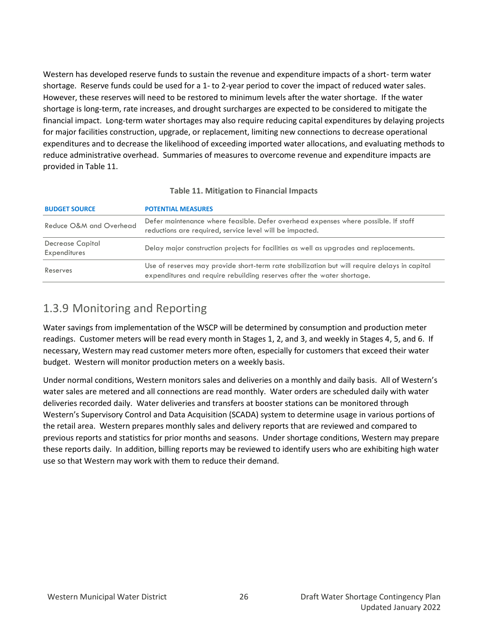Western has developed reserve funds to sustain the revenue and expenditure impacts of a short- term water shortage. Reserve funds could be used for a 1- to 2-year period to cover the impact of reduced water sales. However, these reserves will need to be restored to minimum levels after the water shortage. If the water shortage is long-term, rate increases, and drought surcharges are expected to be considered to mitigate the financial impact. Long-term water shortages may also require reducing capital expenditures by delaying projects for major facilities construction, upgrade, or replacement, limiting new connections to decrease operational expenditures and to decrease the likelihood of exceeding imported water allocations, and evaluating methods to reduce administrative overhead. Summaries of measures to overcome revenue and expenditure impacts are provided in [Table 11.](#page-31-1)

<span id="page-31-1"></span>

| <b>BUDGET SOURCE</b>                    | <b>POTENTIAL MEASURES</b>                                                                                                                                              |
|-----------------------------------------|------------------------------------------------------------------------------------------------------------------------------------------------------------------------|
| Reduce O&M and Overhead                 | Defer maintenance where feasible. Defer overhead expenses where possible. If staff<br>reductions are required, service level will be impacted.                         |
| <b>Decrease Capital</b><br>Expenditures | Delay major construction projects for facilities as well as upgrades and replacements.                                                                                 |
| Reserves                                | Use of reserves may provide short-term rate stabilization but will require delays in capital<br>expenditures and require rebuilding reserves after the water shortage. |

#### **Table 11. Mitigation to Financial Impacts**

## <span id="page-31-0"></span>1.3.9 Monitoring and Reporting

Water savings from implementation of the WSCP will be determined by consumption and production meter readings. Customer meters will be read every month in Stages 1, 2, and 3, and weekly in Stages 4, 5, and 6. If necessary, Western may read customer meters more often, especially for customers that exceed their water budget. Western will monitor production meters on a weekly basis.

Under normal conditions, Western monitors sales and deliveries on a monthly and daily basis. All of Western's water sales are metered and all connections are read monthly. Water orders are scheduled daily with water deliveries recorded daily. Water deliveries and transfers at booster stations can be monitored through Western's Supervisory Control and Data Acquisition (SCADA) system to determine usage in various portions of the retail area. Western prepares monthly sales and delivery reports that are reviewed and compared to previous reports and statistics for prior months and seasons. Under shortage conditions, Western may prepare these reports daily. In addition, billing reports may be reviewed to identify users who are exhibiting high water use so that Western may work with them to reduce their demand.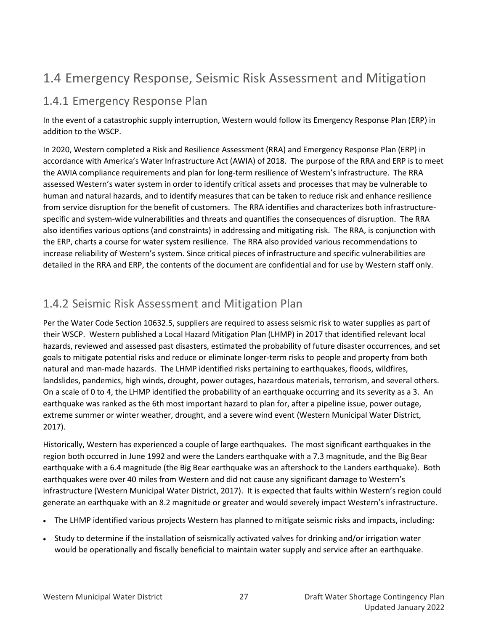## <span id="page-32-0"></span>1.4 Emergency Response, Seismic Risk Assessment and Mitigation

## <span id="page-32-1"></span>1.4.1 Emergency Response Plan

In the event of a catastrophic supply interruption, Western would follow its Emergency Response Plan (ERP) in addition to the WSCP.

In 2020, Western completed a Risk and Resilience Assessment (RRA) and Emergency Response Plan (ERP) in accordance with America's Water Infrastructure Act (AWIA) of 2018. The purpose of the RRA and ERP is to meet the AWIA compliance requirements and plan for long-term resilience of Western's infrastructure. The RRA assessed Western's water system in order to identify critical assets and processes that may be vulnerable to human and natural hazards, and to identify measures that can be taken to reduce risk and enhance resilience from service disruption for the benefit of customers. The RRA identifies and characterizes both infrastructurespecific and system-wide vulnerabilities and threats and quantifies the consequences of disruption. The RRA also identifies various options (and constraints) in addressing and mitigating risk. The RRA, is conjunction with the ERP, charts a course for water system resilience. The RRA also provided various recommendations to increase reliability of Western's system. Since critical pieces of infrastructure and specific vulnerabilities are detailed in the RRA and ERP, the contents of the document are confidential and for use by Western staff only.

## <span id="page-32-2"></span>1.4.2 Seismic Risk Assessment and Mitigation Plan

Per the Water Code Section 10632.5, suppliers are required to assess seismic risk to water supplies as part of their WSCP. Western published a Local Hazard Mitigation Plan (LHMP) in 2017 that identified relevant local hazards, reviewed and assessed past disasters, estimated the probability of future disaster occurrences, and set goals to mitigate potential risks and reduce or eliminate longer-term risks to people and property from both natural and man-made hazards. The LHMP identified risks pertaining to earthquakes, floods, wildfires, landslides, pandemics, high winds, drought, power outages, hazardous materials, terrorism, and several others. On a scale of 0 to 4, the LHMP identified the probability of an earthquake occurring and its severity as a 3. An earthquake was ranked as the 6th most important hazard to plan for, after a pipeline issue, power outage, extreme summer or winter weather, drought, and a severe wind event (Western Municipal Water District, 2017).

Historically, Western has experienced a couple of large earthquakes. The most significant earthquakes in the region both occurred in June 1992 and were the Landers earthquake with a 7.3 magnitude, and the Big Bear earthquake with a 6.4 magnitude (the Big Bear earthquake was an aftershock to the Landers earthquake). Both earthquakes were over 40 miles from Western and did not cause any significant damage to Western's infrastructure (Western Municipal Water District, 2017). It is expected that faults within Western's region could generate an earthquake with an 8.2 magnitude or greater and would severely impact Western's infrastructure.

- The LHMP identified various projects Western has planned to mitigate seismic risks and impacts, including:
- Study to determine if the installation of seismically activated valves for drinking and/or irrigation water would be operationally and fiscally beneficial to maintain water supply and service after an earthquake.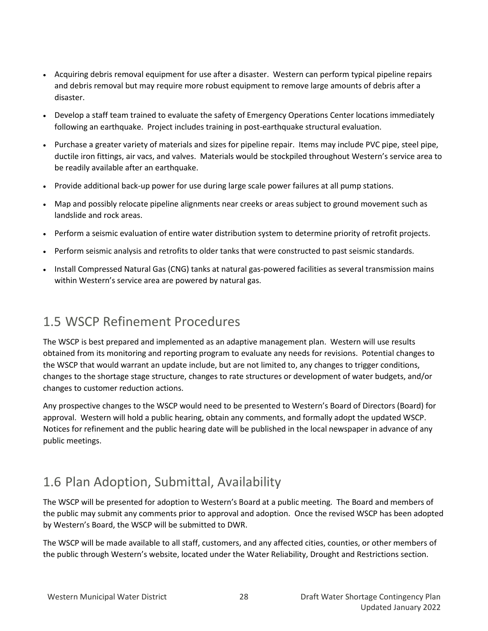- Acquiring debris removal equipment for use after a disaster. Western can perform typical pipeline repairs and debris removal but may require more robust equipment to remove large amounts of debris after a disaster.
- Develop a staff team trained to evaluate the safety of Emergency Operations Center locations immediately following an earthquake. Project includes training in post-earthquake structural evaluation.
- Purchase a greater variety of materials and sizes for pipeline repair. Items may include PVC pipe, steel pipe, ductile iron fittings, air vacs, and valves. Materials would be stockpiled throughout Western's service area to be readily available after an earthquake.
- Provide additional back-up power for use during large scale power failures at all pump stations.
- Map and possibly relocate pipeline alignments near creeks or areas subject to ground movement such as landslide and rock areas.
- Perform a seismic evaluation of entire water distribution system to determine priority of retrofit projects.
- Perform seismic analysis and retrofits to older tanks that were constructed to past seismic standards.
- Install Compressed Natural Gas (CNG) tanks at natural gas-powered facilities as several transmission mains within Western's service area are powered by natural gas.

## <span id="page-33-0"></span>1.5 WSCP Refinement Procedures

The WSCP is best prepared and implemented as an adaptive management plan. Western will use results obtained from its monitoring and reporting program to evaluate any needs for revisions. Potential changes to the WSCP that would warrant an update include, but are not limited to, any changes to trigger conditions, changes to the shortage stage structure, changes to rate structures or development of water budgets, and/or changes to customer reduction actions.

Any prospective changes to the WSCP would need to be presented to Western's Board of Directors (Board) for approval. Western will hold a public hearing, obtain any comments, and formally adopt the updated WSCP. Notices for refinement and the public hearing date will be published in the local newspaper in advance of any public meetings.

## <span id="page-33-1"></span>1.6 Plan Adoption, Submittal, Availability

The WSCP will be presented for adoption to Western's Board at a public meeting. The Board and members of the public may submit any comments prior to approval and adoption. Once the revised WSCP has been adopted by Western's Board, the WSCP will be submitted to DWR.

The WSCP will be made available to all staff, customers, and any affected cities, counties, or other members of the public through Western's website, located under the Water Reliability, Drought and Restrictions section.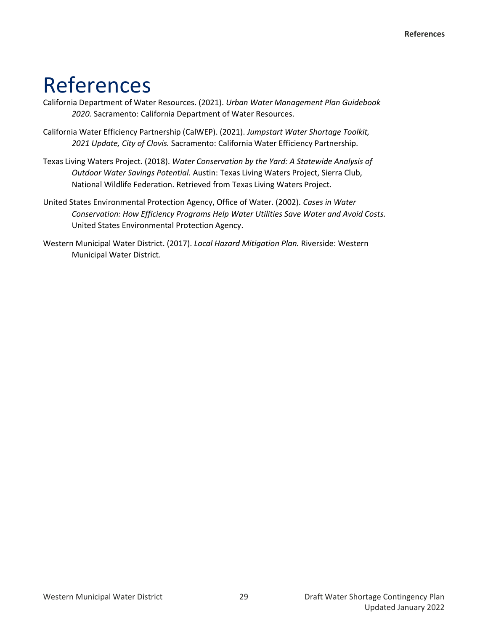## <span id="page-34-0"></span>References

- California Department of Water Resources. (2021). *Urban Water Management Plan Guidebook 2020.* Sacramento: California Department of Water Resources.
- California Water Efficiency Partnership (CalWEP). (2021). *Jumpstart Water Shortage Toolkit, 2021 Update, City of Clovis.* Sacramento: California Water Efficiency Partnership.
- Texas Living Waters Project. (2018). *Water Conservation by the Yard: A Statewide Analysis of Outdoor Water Savings Potential.* Austin: Texas Living Waters Project, Sierra Club, National Wildlife Federation. Retrieved from Texas Living Waters Project.
- United States Environmental Protection Agency, Office of Water. (2002). *Cases in Water Conservation: How Efficiency Programs Help Water Utilities Save Water and Avoid Costs.* United States Environmental Protection Agency.
- Western Municipal Water District. (2017). *Local Hazard Mitigation Plan.* Riverside: Western Municipal Water District.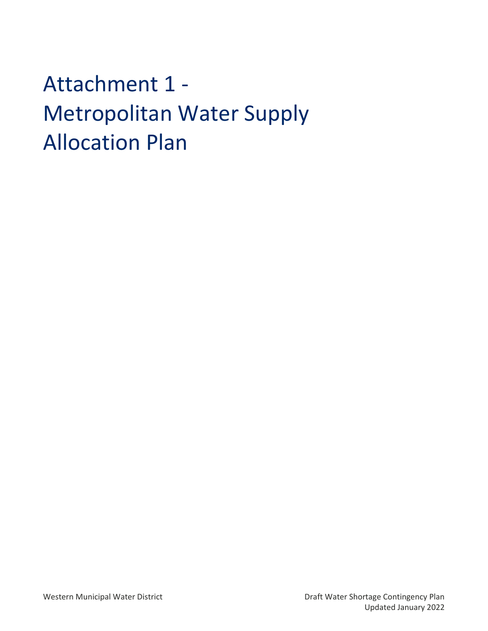<span id="page-35-0"></span>Attachment 1 - Metropolitan Water Supply Allocation Plan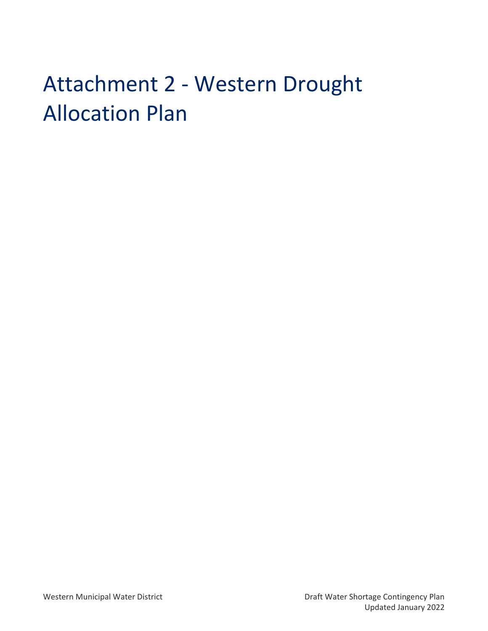## <span id="page-36-0"></span>Attachment 2 - Western Drought Allocation Plan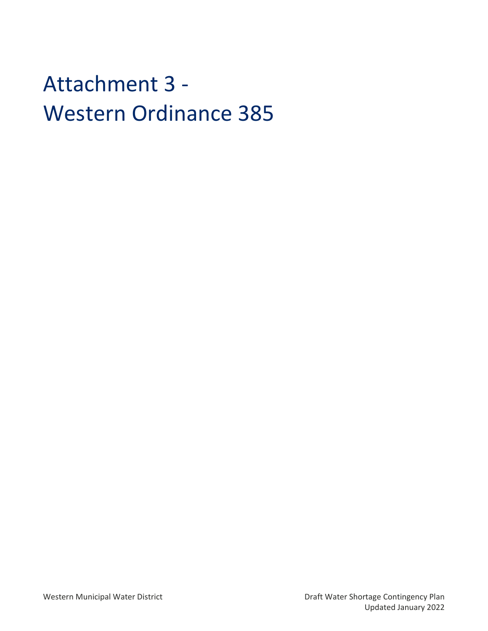## <span id="page-37-0"></span>Attachment 3 - Western Ordinance 385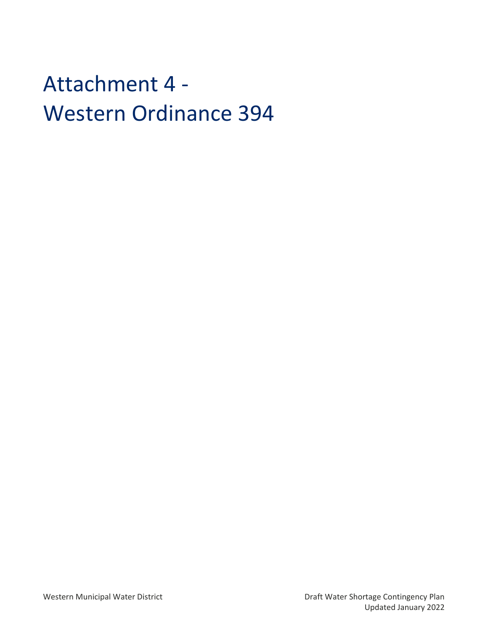## <span id="page-38-0"></span>Attachment 4 - Western Ordinance 394